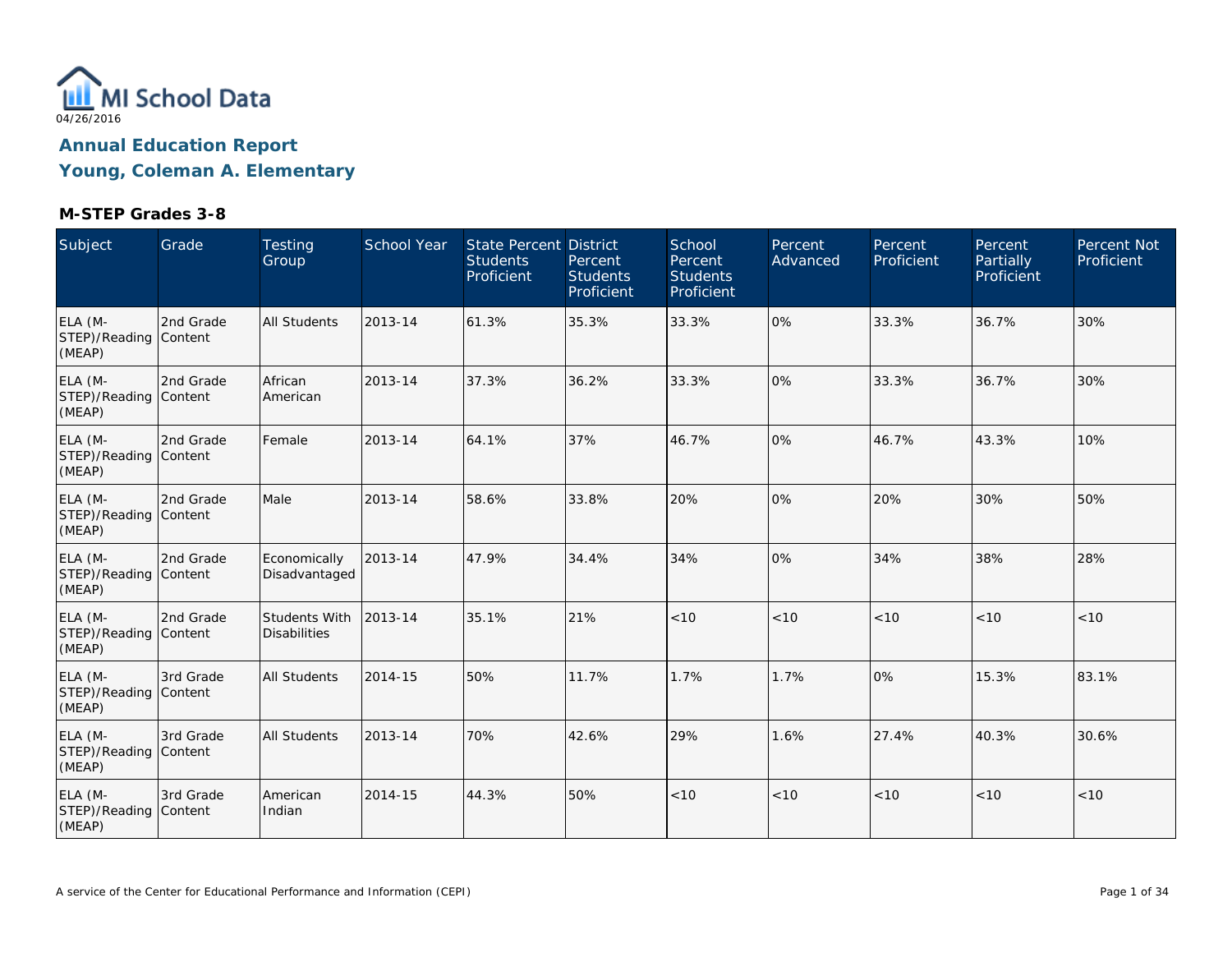

| Subject                                    | Grade     | Testing<br>Group                     | <b>School Year</b> | State Percent District<br><b>Students</b><br>Proficient | Percent<br><b>Students</b><br>Proficient | School<br>Percent<br><b>Students</b><br>Proficient | Percent<br>Advanced | Percent<br>Proficient | Percent<br>Partially<br>Proficient | Percent Not<br>Proficient |
|--------------------------------------------|-----------|--------------------------------------|--------------------|---------------------------------------------------------|------------------------------------------|----------------------------------------------------|---------------------|-----------------------|------------------------------------|---------------------------|
| ELA (M-<br>STEP)/Reading Content<br>(MEAP) | 2nd Grade | All Students                         | 2013-14            | 61.3%                                                   | 35.3%                                    | 33.3%                                              | 0%                  | 33.3%                 | 36.7%                              | 30%                       |
| ELA (M-<br>STEP)/Reading Content<br>(MEAP) | 2nd Grade | African<br>American                  | 2013-14            | 37.3%                                                   | 36.2%                                    | 33.3%                                              | 0%                  | 33.3%                 | 36.7%                              | 30%                       |
| ELA (M-<br>STEP)/Reading Content<br>(MEAP) | 2nd Grade | Female                               | 2013-14            | 64.1%                                                   | 37%                                      | 46.7%                                              | 0%                  | 46.7%                 | 43.3%                              | 10%                       |
| ELA (M-<br>STEP)/Reading Content<br>(MEAP) | 2nd Grade | Male                                 | 2013-14            | 58.6%                                                   | 33.8%                                    | 20%                                                | 0%                  | 20%                   | 30%                                | 50%                       |
| ELA (M-<br>STEP)/Reading Content<br>(MEAP) | 2nd Grade | Economically<br>Disadvantaged        | 2013-14            | 47.9%                                                   | 34.4%                                    | 34%                                                | 0%                  | 34%                   | 38%                                | 28%                       |
| ELA (M-<br>STEP)/Reading Content<br>(MEAP) | 2nd Grade | Students With<br><b>Disabilities</b> | 2013-14            | 35.1%                                                   | 21%                                      | < 10                                               | < 10                | < 10                  | < 10                               | < 10                      |
| ELA (M-<br>STEP)/Reading Content<br>(MEAP) | 3rd Grade | <b>All Students</b>                  | 2014-15            | 50%                                                     | 11.7%                                    | 1.7%                                               | 1.7%                | 0%                    | 15.3%                              | 83.1%                     |
| ELA (M-<br>STEP)/Reading Content<br>(MEAP) | 3rd Grade | <b>All Students</b>                  | 2013-14            | 70%                                                     | 42.6%                                    | 29%                                                | 1.6%                | 27.4%                 | 40.3%                              | 30.6%                     |
| ELA (M-<br>STEP)/Reading Content<br>(MEAP) | 3rd Grade | American<br>Indian                   | 2014-15            | 44.3%                                                   | 50%                                      | < 10                                               | < 10                | < 10                  | < 10                               | < 10                      |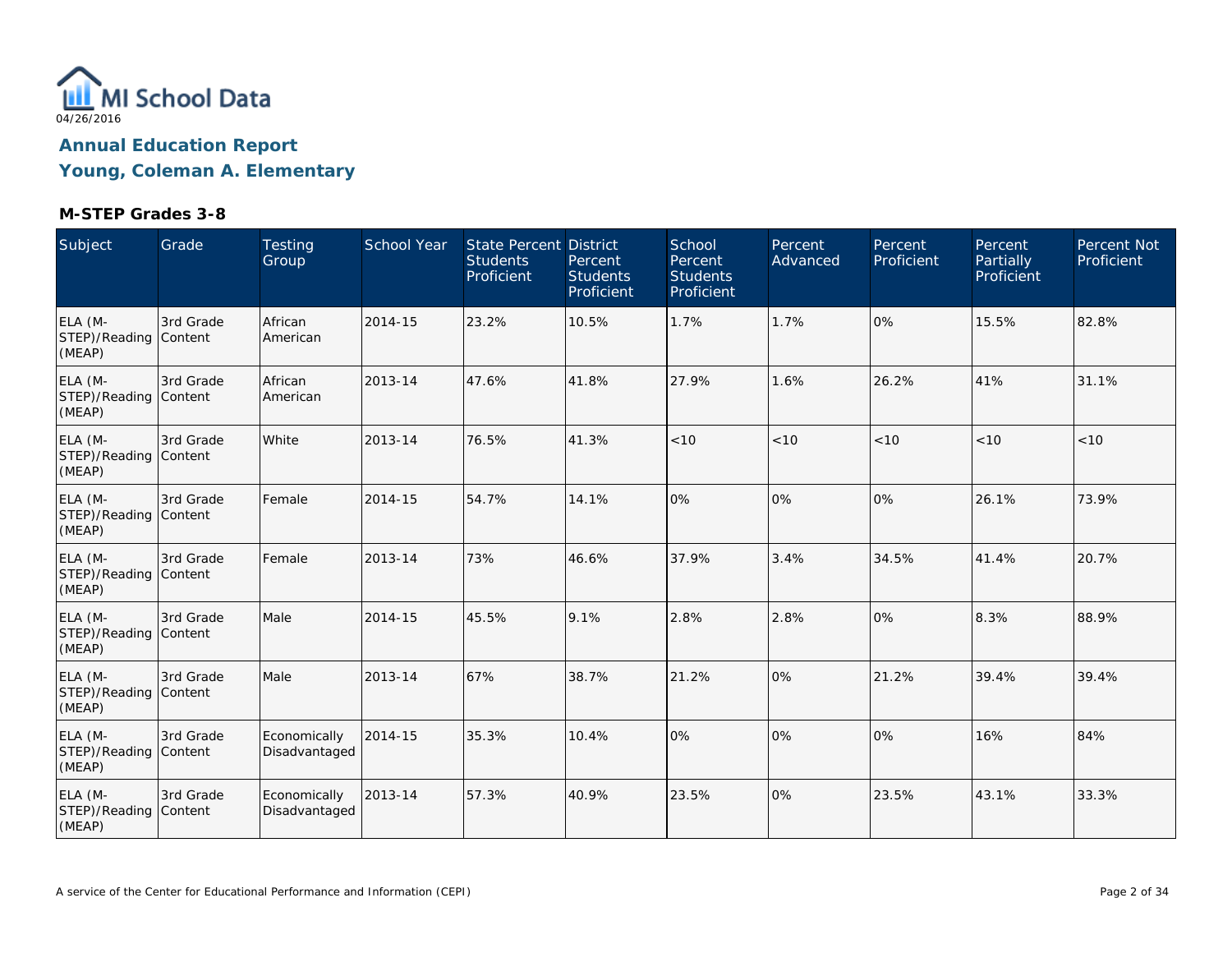

| Subject                                    | Grade     | Testing<br>Group              | <b>School Year</b> | <b>State Percent District</b><br><b>Students</b><br>Proficient | Percent<br><b>Students</b><br>Proficient | School<br>Percent<br><b>Students</b><br>Proficient | Percent<br>Advanced | Percent<br>Proficient | Percent<br><b>Partially</b><br>Proficient | Percent Not<br>Proficient |
|--------------------------------------------|-----------|-------------------------------|--------------------|----------------------------------------------------------------|------------------------------------------|----------------------------------------------------|---------------------|-----------------------|-------------------------------------------|---------------------------|
| ELA (M-<br>STEP)/Reading Content<br>(MEAP) | 3rd Grade | African<br>American           | 2014-15            | 23.2%                                                          | 10.5%                                    | 1.7%                                               | 1.7%                | 0%                    | 15.5%                                     | 82.8%                     |
| ELA (M-<br>STEP)/Reading Content<br>(MEAP) | 3rd Grade | African<br>American           | 2013-14            | 47.6%                                                          | 41.8%                                    | 27.9%                                              | 1.6%                | 26.2%                 | 41%                                       | 31.1%                     |
| ELA (M-<br>STEP)/Reading Content<br>(MEAP) | 3rd Grade | White                         | 2013-14            | 76.5%                                                          | 41.3%                                    | < 10                                               | < 10                | < 10                  | < 10                                      | < 10                      |
| ELA (M-<br>STEP)/Reading Content<br>(MEAP) | 3rd Grade | Female                        | 2014-15            | 54.7%                                                          | 14.1%                                    | 0%                                                 | 0%                  | 0%                    | 26.1%                                     | 73.9%                     |
| ELA (M-<br>STEP)/Reading Content<br>(MEAP) | 3rd Grade | Female                        | 2013-14            | 73%                                                            | 46.6%                                    | 37.9%                                              | 3.4%                | 34.5%                 | 41.4%                                     | 20.7%                     |
| ELA (M-<br>STEP)/Reading Content<br>(MEAP) | 3rd Grade | Male                          | 2014-15            | 45.5%                                                          | 9.1%                                     | 2.8%                                               | 2.8%                | 0%                    | 8.3%                                      | 88.9%                     |
| ELA (M-<br>STEP)/Reading Content<br>(MEAP) | 3rd Grade | Male                          | 2013-14            | 67%                                                            | 38.7%                                    | 21.2%                                              | 0%                  | 21.2%                 | 39.4%                                     | 39.4%                     |
| ELA (M-<br>STEP)/Reading Content<br>(MEAP) | 3rd Grade | Economically<br>Disadvantaged | 2014-15            | 35.3%                                                          | 10.4%                                    | 0%                                                 | 0%                  | 0%                    | 16%                                       | 84%                       |
| ELA (M-<br>STEP)/Reading Content<br>(MEAP) | 3rd Grade | Economically<br>Disadvantaged | 2013-14            | 57.3%                                                          | 40.9%                                    | 23.5%                                              | 0%                  | 23.5%                 | 43.1%                                     | 33.3%                     |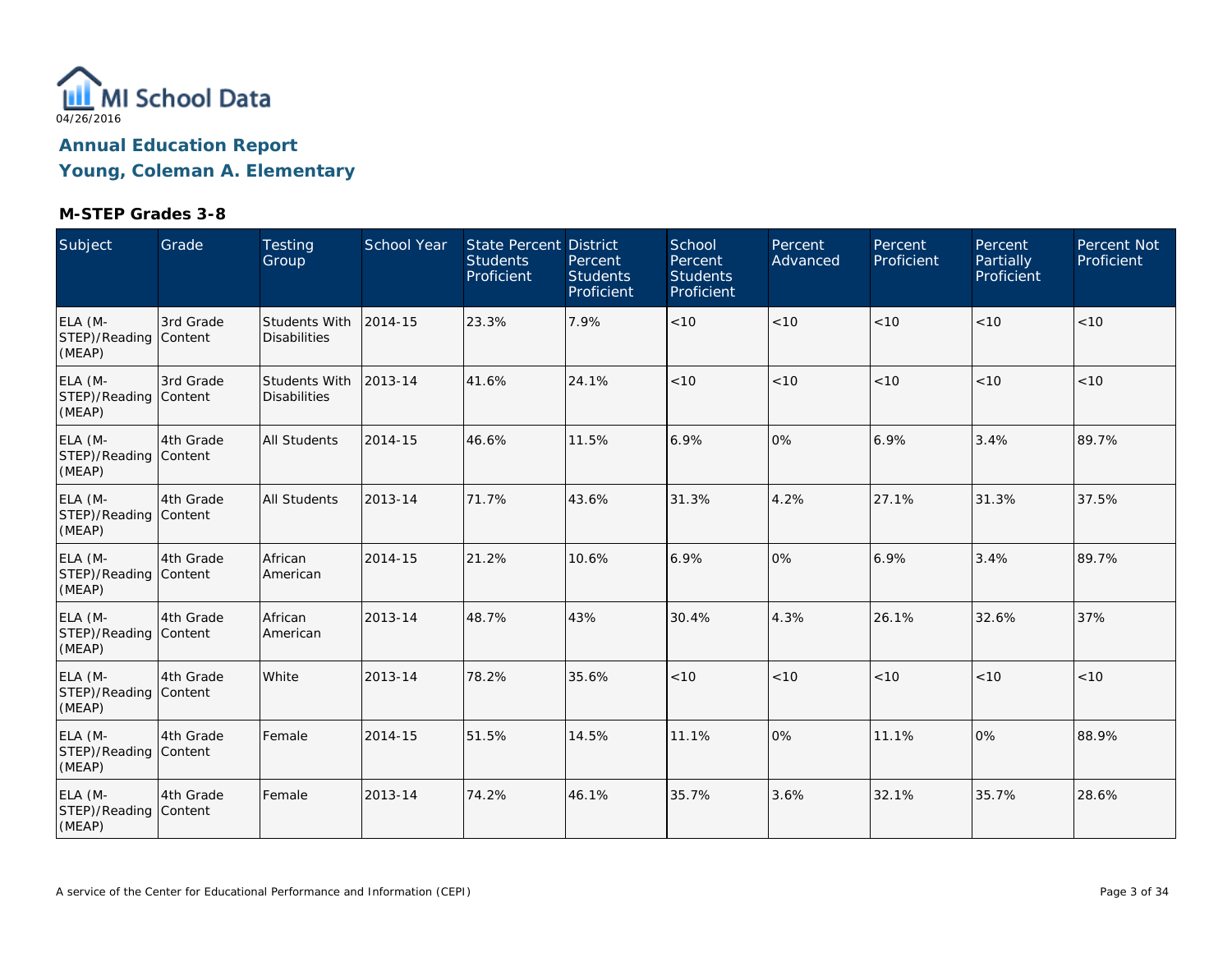

| Subject                                    | Grade     | <b>Testing</b><br>Group              | <b>School Year</b> | <b>State Percent District</b><br><b>Students</b><br>Proficient | Percent<br><b>Students</b><br>Proficient | School<br>Percent<br><b>Students</b><br>Proficient | Percent<br>Advanced | Percent<br>Proficient | Percent<br>Partially<br>Proficient | Percent Not<br>Proficient |
|--------------------------------------------|-----------|--------------------------------------|--------------------|----------------------------------------------------------------|------------------------------------------|----------------------------------------------------|---------------------|-----------------------|------------------------------------|---------------------------|
| ELA (M-<br>STEP)/Reading Content<br>(MEAP) | 3rd Grade | Students With<br><b>Disabilities</b> | 2014-15            | 23.3%                                                          | 7.9%                                     | < 10                                               | < 10                | < 10                  | < 10                               | < 10                      |
| ELA (M-<br>STEP)/Reading Content<br>(MEAP) | 3rd Grade | Students With<br><b>Disabilities</b> | 2013-14            | 41.6%                                                          | 24.1%                                    | < 10                                               | < 10                | < 10                  | < 10                               | < 10                      |
| ELA (M-<br>STEP)/Reading Content<br>(MEAP) | 4th Grade | <b>All Students</b>                  | 2014-15            | 46.6%                                                          | 11.5%                                    | 6.9%                                               | 0%                  | 6.9%                  | 3.4%                               | 89.7%                     |
| ELA (M-<br>STEP)/Reading Content<br>(MEAP) | 4th Grade | All Students                         | 2013-14            | 71.7%                                                          | 43.6%                                    | 31.3%                                              | 4.2%                | 27.1%                 | 31.3%                              | 37.5%                     |
| ELA (M-<br>STEP)/Reading Content<br>(MEAP) | 4th Grade | African<br>American                  | 2014-15            | 21.2%                                                          | 10.6%                                    | 6.9%                                               | 0%                  | 6.9%                  | 3.4%                               | 89.7%                     |
| ELA (M-<br>STEP)/Reading Content<br>(MEAP) | 4th Grade | African<br>American                  | 2013-14            | 48.7%                                                          | 43%                                      | 30.4%                                              | 4.3%                | 26.1%                 | 32.6%                              | 37%                       |
| ELA (M-<br>STEP)/Reading Content<br>(MEAP) | 4th Grade | White                                | 2013-14            | 78.2%                                                          | 35.6%                                    | < 10                                               | < 10                | < 10                  | < 10                               | < 10                      |
| ELA (M-<br>STEP)/Reading Content<br>(MEAP) | 4th Grade | Female                               | 2014-15            | 51.5%                                                          | 14.5%                                    | 11.1%                                              | 0%                  | 11.1%                 | 0%                                 | 88.9%                     |
| ELA (M-<br>STEP)/Reading Content<br>(MEAP) | 4th Grade | Female                               | 2013-14            | 74.2%                                                          | 46.1%                                    | 35.7%                                              | 3.6%                | 32.1%                 | 35.7%                              | 28.6%                     |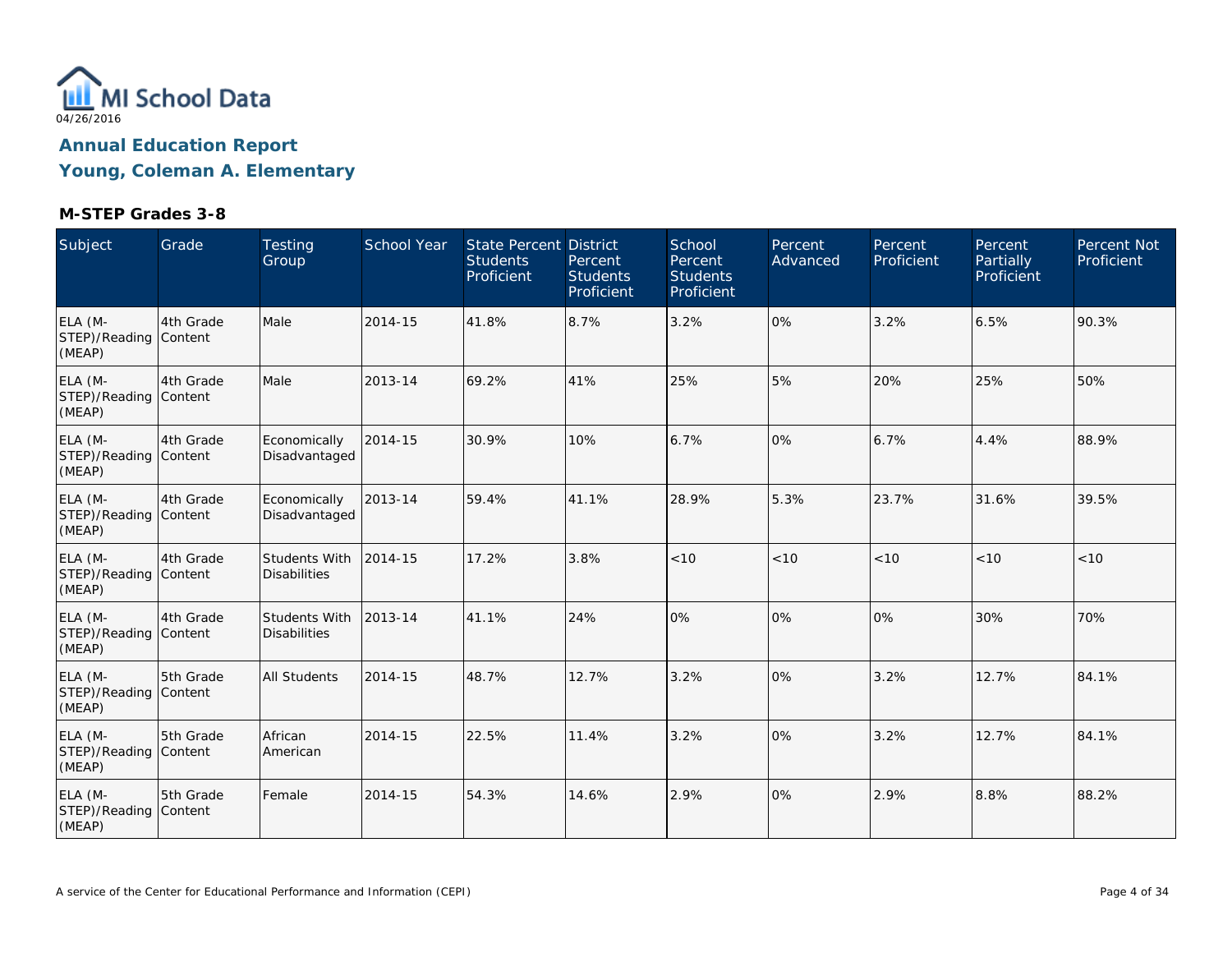

| Subject                                    | Grade     | Testing<br>Group                     | School Year | State Percent District<br><b>Students</b><br>Proficient | Percent<br><b>Students</b><br>Proficient | School<br>Percent<br><b>Students</b><br>Proficient | Percent<br>Advanced | Percent<br>Proficient | Percent<br>Partially<br>Proficient | Percent Not<br>Proficient |
|--------------------------------------------|-----------|--------------------------------------|-------------|---------------------------------------------------------|------------------------------------------|----------------------------------------------------|---------------------|-----------------------|------------------------------------|---------------------------|
| ELA (M-<br>STEP)/Reading Content<br>(MEAP) | 4th Grade | Male                                 | 2014-15     | 41.8%                                                   | 8.7%                                     | 3.2%                                               | 0%                  | 3.2%                  | 6.5%                               | 90.3%                     |
| ELA (M-<br>STEP)/Reading Content<br>(MEAP) | 4th Grade | Male                                 | 2013-14     | 69.2%                                                   | 41%                                      | 25%                                                | 5%                  | 20%                   | 25%                                | 50%                       |
| ELA (M-<br>STEP)/Reading Content<br>(MEAP) | 4th Grade | Economically<br>Disadvantaged        | 2014-15     | 30.9%                                                   | 10%                                      | 6.7%                                               | 0%                  | 6.7%                  | 4.4%                               | 88.9%                     |
| ELA (M-<br>STEP)/Reading Content<br>(MEAP) | 4th Grade | Economically<br>Disadvantaged        | 2013-14     | 59.4%                                                   | 41.1%                                    | 28.9%                                              | 5.3%                | 23.7%                 | 31.6%                              | 39.5%                     |
| ELA (M-<br>STEP)/Reading Content<br>(MEAP) | 4th Grade | Students With<br><b>Disabilities</b> | 2014-15     | 17.2%                                                   | 3.8%                                     | < 10                                               | < 10                | < 10                  | < 10                               | < 10                      |
| ELA (M-<br>STEP)/Reading Content<br>(MEAP) | 4th Grade | Students With<br><b>Disabilities</b> | 2013-14     | 41.1%                                                   | 24%                                      | 0%                                                 | 0%                  | 0%                    | 30%                                | 70%                       |
| ELA (M-<br>STEP)/Reading Content<br>(MEAP) | 5th Grade | <b>All Students</b>                  | 2014-15     | 48.7%                                                   | 12.7%                                    | 3.2%                                               | 0%                  | 3.2%                  | 12.7%                              | 84.1%                     |
| ELA (M-<br>STEP)/Reading Content<br>(MEAP) | 5th Grade | African<br>American                  | 2014-15     | 22.5%                                                   | 11.4%                                    | 3.2%                                               | 0%                  | 3.2%                  | 12.7%                              | 84.1%                     |
| ELA (M-<br>STEP)/Reading Content<br>(MEAP) | 5th Grade | Female                               | 2014-15     | 54.3%                                                   | 14.6%                                    | 2.9%                                               | 0%                  | 2.9%                  | 8.8%                               | 88.2%                     |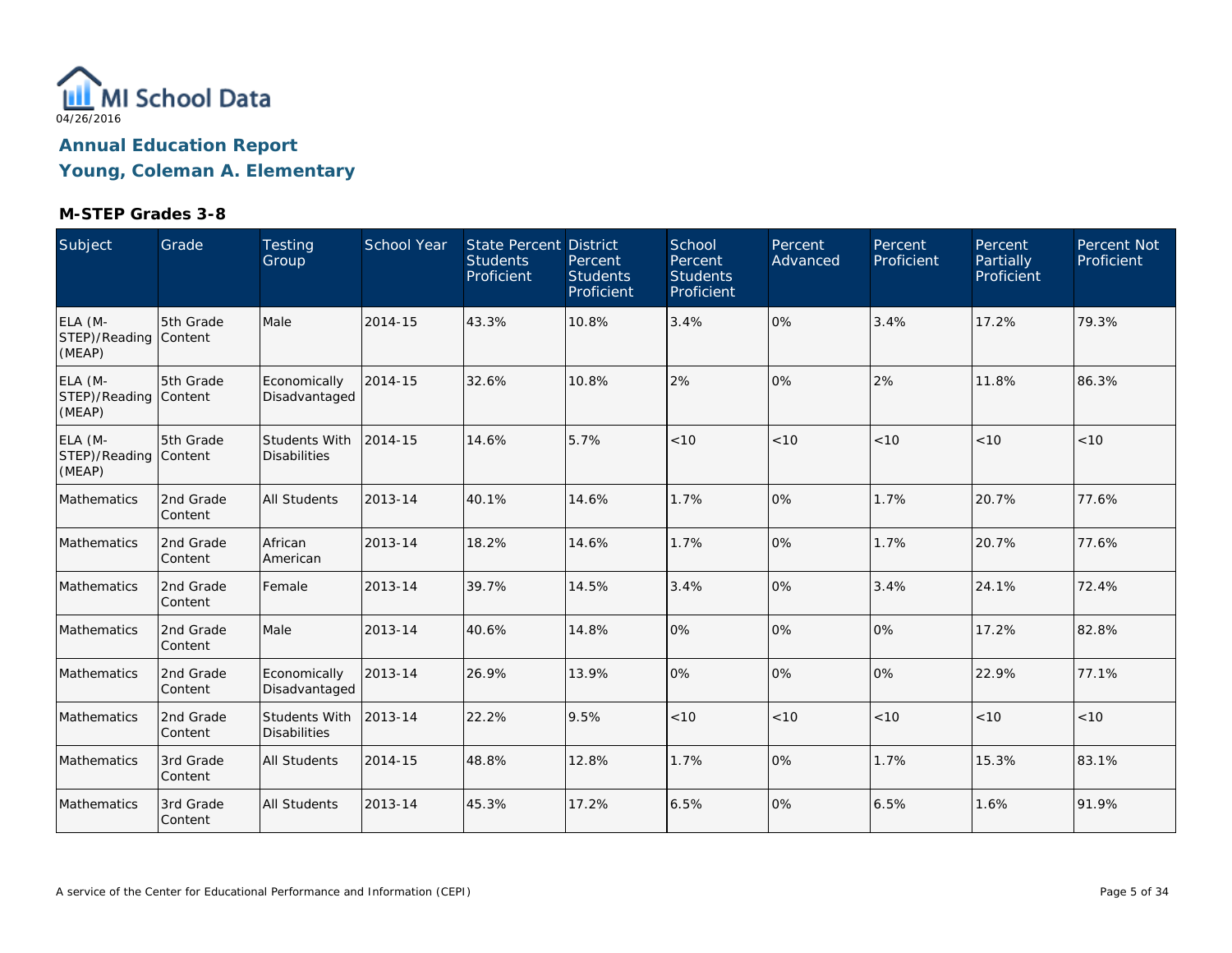

| Subject                                    | Grade                | Testing<br>Group                            | School Year | State Percent District<br><b>Students</b><br>Proficient | Percent<br><b>Students</b><br>Proficient | School<br>Percent<br><b>Students</b><br>Proficient | Percent<br>Advanced | Percent<br>Proficient | Percent<br>Partially<br>Proficient | Percent Not<br>Proficient |
|--------------------------------------------|----------------------|---------------------------------------------|-------------|---------------------------------------------------------|------------------------------------------|----------------------------------------------------|---------------------|-----------------------|------------------------------------|---------------------------|
| ELA (M-<br>STEP)/Reading Content<br>(MEAP) | 5th Grade            | Male                                        | 2014-15     | 43.3%                                                   | 10.8%                                    | 3.4%                                               | 0%                  | 3.4%                  | 17.2%                              | 79.3%                     |
| ELA (M-<br>STEP)/Reading Content<br>(MEAP) | 5th Grade            | Economically<br>Disadvantaged               | 2014-15     | 32.6%                                                   | 10.8%                                    | 2%                                                 | 0%                  | 2%                    | 11.8%                              | 86.3%                     |
| ELA (M-<br>STEP)/Reading Content<br>(MEAP) | 5th Grade            | Students With<br><b>Disabilities</b>        | 2014-15     | 14.6%                                                   | 5.7%                                     | < 10                                               | < 10                | < 10                  | < 10                               | < 10                      |
| Mathematics                                | 2nd Grade<br>Content | <b>All Students</b>                         | 2013-14     | 40.1%                                                   | 14.6%                                    | 1.7%                                               | 0%                  | 1.7%                  | 20.7%                              | 77.6%                     |
| Mathematics                                | 2nd Grade<br>Content | African<br>American                         | 2013-14     | 18.2%                                                   | 14.6%                                    | 1.7%                                               | 0%                  | 1.7%                  | 20.7%                              | 77.6%                     |
| Mathematics                                | 2nd Grade<br>Content | Female                                      | 2013-14     | 39.7%                                                   | 14.5%                                    | 3.4%                                               | 0%                  | 3.4%                  | 24.1%                              | 72.4%                     |
| Mathematics                                | 2nd Grade<br>Content | Male                                        | 2013-14     | 40.6%                                                   | 14.8%                                    | 0%                                                 | 0%                  | 0%                    | 17.2%                              | 82.8%                     |
| Mathematics                                | 2nd Grade<br>Content | Economically<br>Disadvantaged               | 2013-14     | 26.9%                                                   | 13.9%                                    | 0%                                                 | 0%                  | 0%                    | 22.9%                              | 77.1%                     |
| Mathematics                                | 2nd Grade<br>Content | <b>Students With</b><br><b>Disabilities</b> | 2013-14     | 22.2%                                                   | 9.5%                                     | $<10$                                              | $<10$               | < 10                  | < 10                               | $<10$                     |
| Mathematics                                | 3rd Grade<br>Content | <b>All Students</b>                         | 2014-15     | 48.8%                                                   | 12.8%                                    | 1.7%                                               | 0%                  | 1.7%                  | 15.3%                              | 83.1%                     |
| Mathematics                                | 3rd Grade<br>Content | <b>All Students</b>                         | 2013-14     | 45.3%                                                   | 17.2%                                    | 6.5%                                               | 0%                  | 6.5%                  | 1.6%                               | 91.9%                     |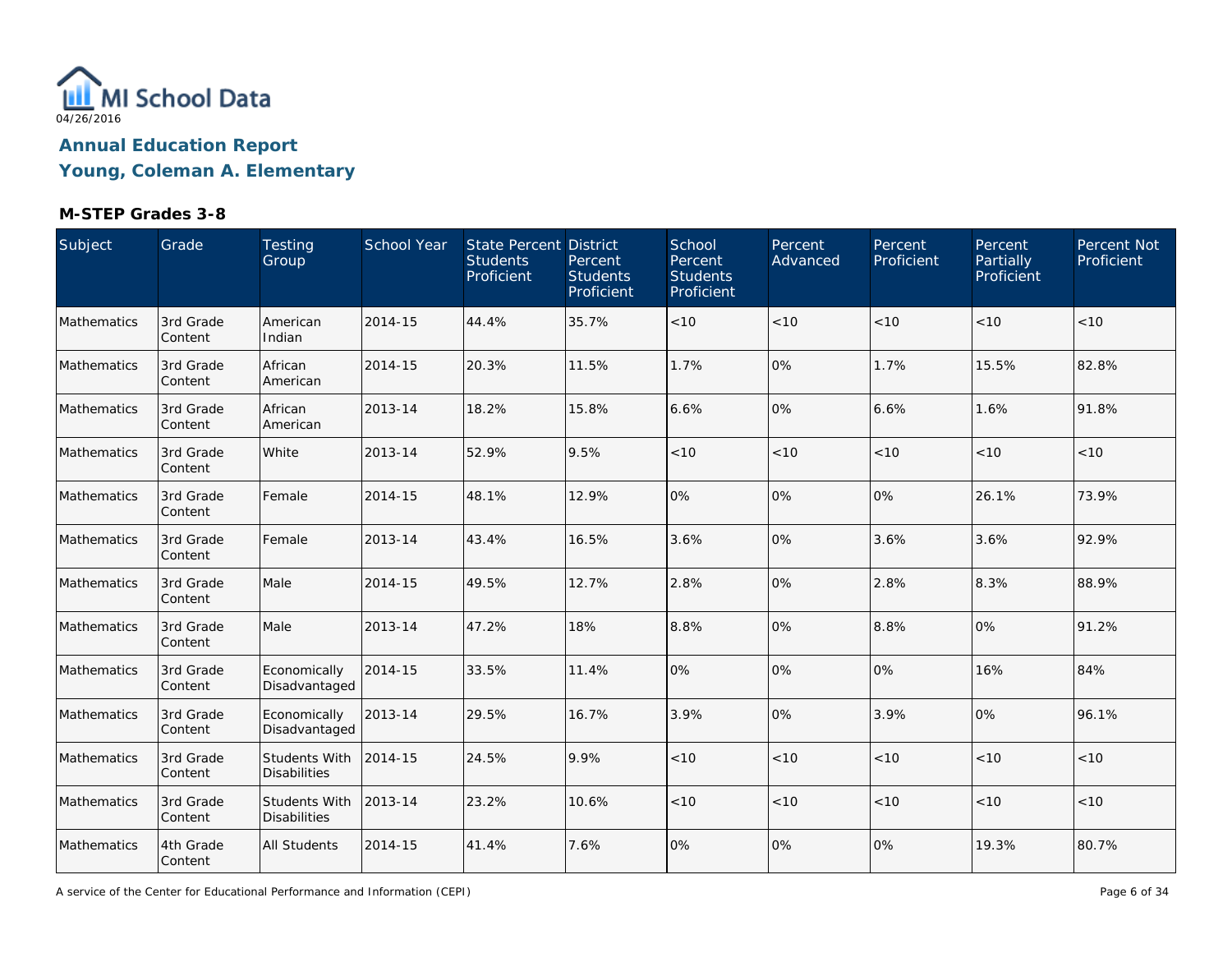

### **M-STEP Grades 3-8**

| Subject     | Grade                | Testing<br>Group                     | School Year | State Percent District<br><b>Students</b><br>Proficient | Percent<br><b>Students</b><br>Proficient | School<br>Percent<br><b>Students</b><br>Proficient | Percent<br>Advanced | Percent<br>Proficient | Percent<br>Partially<br>Proficient | Percent Not<br>Proficient |
|-------------|----------------------|--------------------------------------|-------------|---------------------------------------------------------|------------------------------------------|----------------------------------------------------|---------------------|-----------------------|------------------------------------|---------------------------|
| Mathematics | 3rd Grade<br>Content | American<br>Indian                   | 2014-15     | 44.4%                                                   | 35.7%                                    | < 10                                               | < 10                | < 10                  | < 10                               | $<10$                     |
| Mathematics | 3rd Grade<br>Content | African<br>American                  | 2014-15     | 20.3%                                                   | 11.5%                                    | 1.7%                                               | 0%                  | 1.7%                  | 15.5%                              | 82.8%                     |
| Mathematics | 3rd Grade<br>Content | African<br>American                  | 2013-14     | 18.2%                                                   | 15.8%                                    | 6.6%                                               | 0%                  | 6.6%                  | 1.6%                               | 91.8%                     |
| Mathematics | 3rd Grade<br>Content | White                                | 2013-14     | 52.9%                                                   | 9.5%                                     | $<10$                                              | < 10                | $<10$                 | < 10                               | < 10                      |
| Mathematics | 3rd Grade<br>Content | Female                               | 2014-15     | 48.1%                                                   | 12.9%                                    | 0%                                                 | 0%                  | 0%                    | 26.1%                              | 73.9%                     |
| Mathematics | 3rd Grade<br>Content | Female                               | 2013-14     | 43.4%                                                   | 16.5%                                    | 3.6%                                               | 0%                  | 3.6%                  | 3.6%                               | 92.9%                     |
| Mathematics | 3rd Grade<br>Content | Male                                 | 2014-15     | 49.5%                                                   | 12.7%                                    | 2.8%                                               | 0%                  | 2.8%                  | 8.3%                               | 88.9%                     |
| Mathematics | 3rd Grade<br>Content | Male                                 | 2013-14     | 47.2%                                                   | 18%                                      | 8.8%                                               | 0%                  | 8.8%                  | 0%                                 | 91.2%                     |
| Mathematics | 3rd Grade<br>Content | Economically<br>Disadvantaged        | 2014-15     | 33.5%                                                   | 11.4%                                    | 0%                                                 | 0%                  | 10%                   | 16%                                | 84%                       |
| Mathematics | 3rd Grade<br>Content | Economically<br>Disadvantaged        | 2013-14     | 29.5%                                                   | 16.7%                                    | 3.9%                                               | 0%                  | 3.9%                  | 0%                                 | 96.1%                     |
| Mathematics | 3rd Grade<br>Content | Students With<br><b>Disabilities</b> | 2014-15     | 24.5%                                                   | 9.9%                                     | < 10                                               | < 10                | < 10                  | < 10                               | < 10                      |
| Mathematics | 3rd Grade<br>Content | Students With<br><b>Disabilities</b> | 2013-14     | 23.2%                                                   | 10.6%                                    | < 10                                               | < 10                | < 10                  | < 10                               | $<10$                     |
| Mathematics | 4th Grade<br>Content | All Students                         | 2014-15     | 41.4%                                                   | 7.6%                                     | 0%                                                 | 0%                  | 0%                    | 19.3%                              | 80.7%                     |

A service of the Center for Educational Performance and Information (CEPI)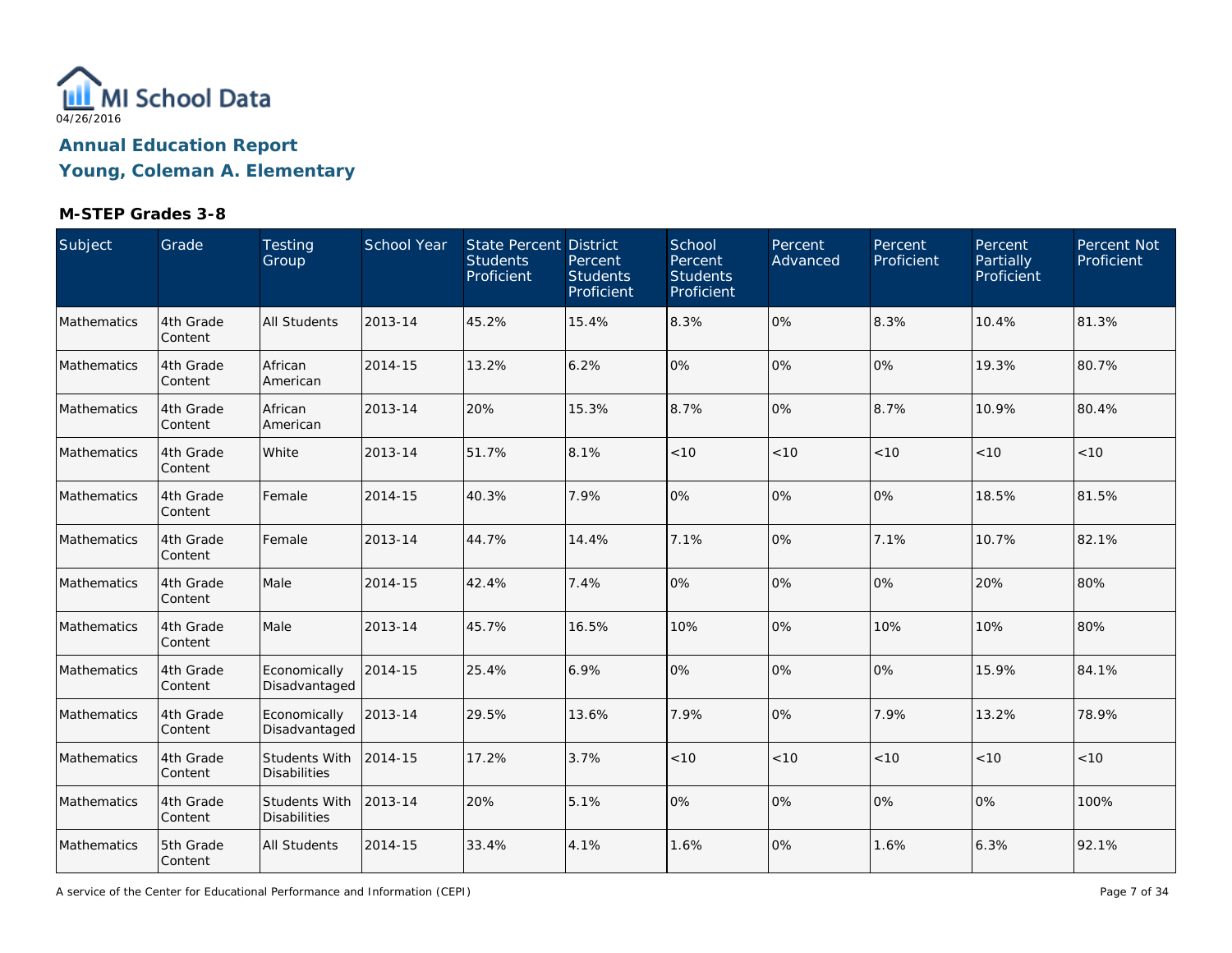

| Subject     | Grade                | <b>Testing</b><br>Group                     | School Year | State Percent District<br><b>Students</b><br>Proficient | Percent<br><b>Students</b><br>Proficient | School<br>Percent<br><b>Students</b><br>Proficient | Percent<br>Advanced | Percent<br>Proficient | Percent<br>Partially<br>Proficient | Percent Not<br>Proficient |
|-------------|----------------------|---------------------------------------------|-------------|---------------------------------------------------------|------------------------------------------|----------------------------------------------------|---------------------|-----------------------|------------------------------------|---------------------------|
| Mathematics | 4th Grade<br>Content | <b>All Students</b>                         | 2013-14     | 45.2%                                                   | 15.4%                                    | 8.3%                                               | 0%                  | 8.3%                  | 10.4%                              | 81.3%                     |
| Mathematics | 4th Grade<br>Content | African<br>American                         | 2014-15     | 13.2%                                                   | 6.2%                                     | 0%                                                 | 0%                  | 10%                   | 19.3%                              | 80.7%                     |
| Mathematics | 4th Grade<br>Content | African<br>American                         | 2013-14     | 20%                                                     | 15.3%                                    | 8.7%                                               | 0%                  | 8.7%                  | 10.9%                              | 80.4%                     |
| Mathematics | 4th Grade<br>Content | White                                       | 2013-14     | 51.7%                                                   | 8.1%                                     | < 10                                               | < 10                | < 10                  | < 10                               | < 10                      |
| Mathematics | 4th Grade<br>Content | Female                                      | 2014-15     | 40.3%                                                   | 7.9%                                     | 0%                                                 | 0%                  | 0%                    | 18.5%                              | 81.5%                     |
| Mathematics | 4th Grade<br>Content | Female                                      | 2013-14     | 44.7%                                                   | 14.4%                                    | 7.1%                                               | 0%                  | 7.1%                  | 10.7%                              | 82.1%                     |
| Mathematics | 4th Grade<br>Content | Male                                        | 2014-15     | 42.4%                                                   | 7.4%                                     | 0%                                                 | 0%                  | 0%                    | 20%                                | 80%                       |
| Mathematics | 4th Grade<br>Content | Male                                        | 2013-14     | 45.7%                                                   | 16.5%                                    | 10%                                                | 0%                  | 10%                   | 10%                                | 80%                       |
| Mathematics | 4th Grade<br>Content | Economically<br>Disadvantaged               | 2014-15     | 25.4%                                                   | 6.9%                                     | 0%                                                 | 0%                  | 0%                    | 15.9%                              | 84.1%                     |
| Mathematics | 4th Grade<br>Content | Economically<br>Disadvantaged               | 2013-14     | 29.5%                                                   | 13.6%                                    | 7.9%                                               | 0%                  | 7.9%                  | 13.2%                              | 78.9%                     |
| Mathematics | 4th Grade<br>Content | Students With<br><b>Disabilities</b>        | 2014-15     | 17.2%                                                   | 3.7%                                     | $<10$                                              | < 10                | < 10                  | < 10                               | $<10$                     |
| Mathematics | 4th Grade<br>Content | <b>Students With</b><br><b>Disabilities</b> | 2013-14     | 20%                                                     | 5.1%                                     | 0%                                                 | 0%                  | 0%                    | 0%                                 | 100%                      |
| Mathematics | 5th Grade<br>Content | All Students                                | 2014-15     | 33.4%                                                   | 4.1%                                     | 1.6%                                               | 0%                  | 1.6%                  | 6.3%                               | 92.1%                     |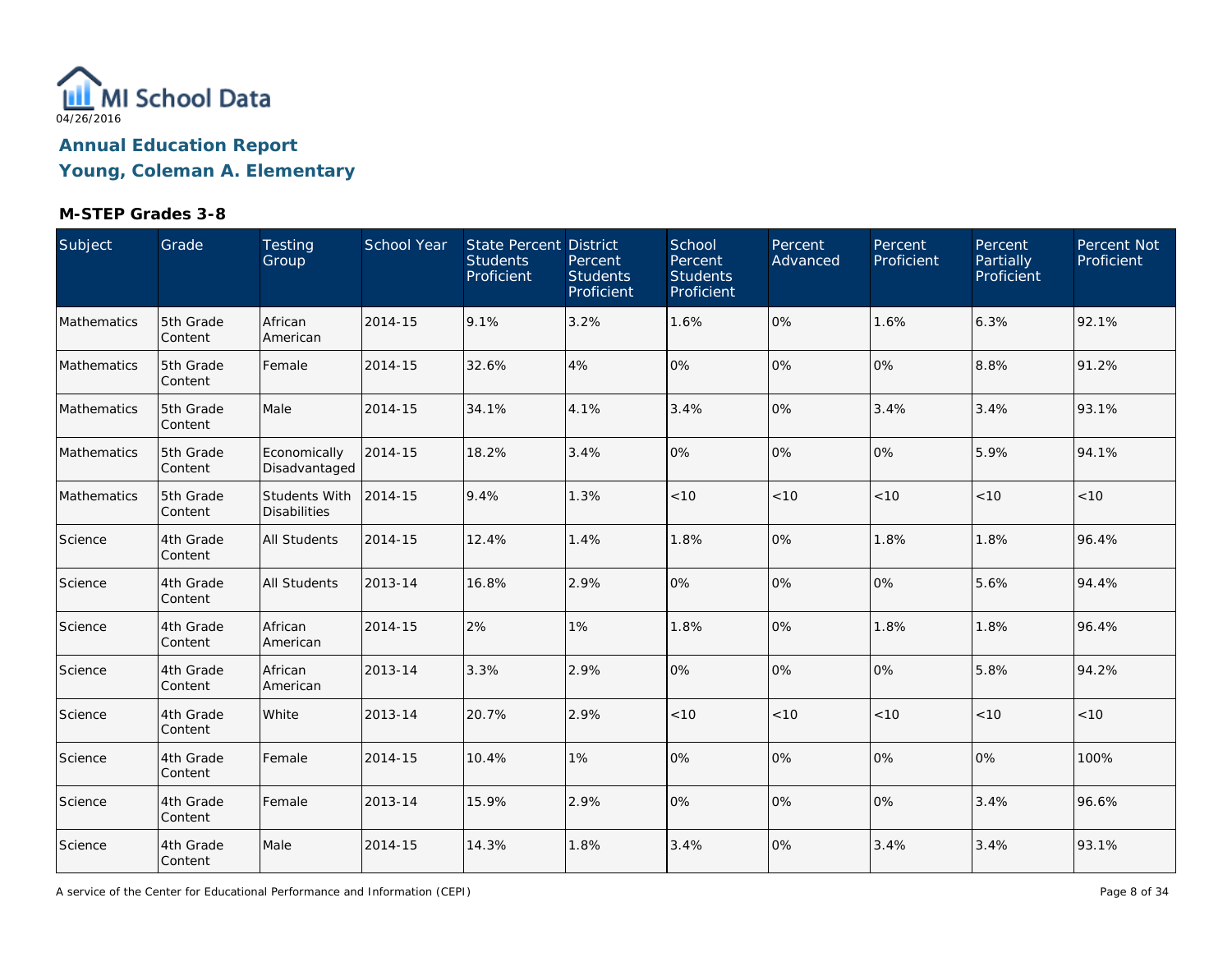

| Subject     | Grade                | Testing<br>Group                            | School Year | State Percent District<br><b>Students</b><br>Proficient | Percent<br><b>Students</b><br>Proficient | School<br>Percent<br><b>Students</b><br>Proficient | Percent<br>Advanced | Percent<br>Proficient | Percent<br><b>Partially</b><br>Proficient | Percent Not<br>Proficient |
|-------------|----------------------|---------------------------------------------|-------------|---------------------------------------------------------|------------------------------------------|----------------------------------------------------|---------------------|-----------------------|-------------------------------------------|---------------------------|
| Mathematics | 5th Grade<br>Content | African<br>American                         | 2014-15     | 9.1%                                                    | 3.2%                                     | 1.6%                                               | 0%                  | 1.6%                  | 6.3%                                      | 92.1%                     |
| Mathematics | 5th Grade<br>Content | Female                                      | 2014-15     | 32.6%                                                   | 4%                                       | 0%                                                 | 0%                  | 0%                    | 8.8%                                      | 91.2%                     |
| Mathematics | 5th Grade<br>Content | Male                                        | 2014-15     | 34.1%                                                   | 4.1%                                     | 3.4%                                               | 0%                  | 3.4%                  | 3.4%                                      | 93.1%                     |
| Mathematics | 5th Grade<br>Content | Economically<br>Disadvantaged               | 2014-15     | 18.2%                                                   | 3.4%                                     | 0%                                                 | 0%                  | 0%                    | 5.9%                                      | 94.1%                     |
| Mathematics | 5th Grade<br>Content | <b>Students With</b><br><b>Disabilities</b> | 2014-15     | 9.4%                                                    | 1.3%                                     | $<10$                                              | < 10                | < 10                  | < 10                                      | < 10                      |
| Science     | 4th Grade<br>Content | All Students                                | 2014-15     | 12.4%                                                   | 1.4%                                     | 1.8%                                               | 0%                  | 1.8%                  | 1.8%                                      | 96.4%                     |
| Science     | 4th Grade<br>Content | <b>All Students</b>                         | 2013-14     | 16.8%                                                   | 2.9%                                     | 0%                                                 | 0%                  | 0%                    | 5.6%                                      | 94.4%                     |
| Science     | 4th Grade<br>Content | African<br>American                         | 2014-15     | 2%                                                      | 1%                                       | 1.8%                                               | 0%                  | 1.8%                  | 1.8%                                      | 96.4%                     |
| Science     | 4th Grade<br>Content | African<br>American                         | 2013-14     | 3.3%                                                    | 2.9%                                     | 0%                                                 | 0%                  | 0%                    | 5.8%                                      | 94.2%                     |
| Science     | 4th Grade<br>Content | White                                       | 2013-14     | 20.7%                                                   | 2.9%                                     | $<10$                                              | < 10                | $<10$                 | < 10                                      | < 10                      |
| Science     | 4th Grade<br>Content | Female                                      | 2014-15     | 10.4%                                                   | 1%                                       | 0%                                                 | 0%                  | 0%                    | 0%                                        | 100%                      |
| Science     | 4th Grade<br>Content | Female                                      | 2013-14     | 15.9%                                                   | 2.9%                                     | 0%                                                 | 0%                  | 0%                    | 3.4%                                      | 96.6%                     |
| Science     | 4th Grade<br>Content | Male                                        | 2014-15     | 14.3%                                                   | 1.8%                                     | 3.4%                                               | 0%                  | 3.4%                  | 3.4%                                      | 93.1%                     |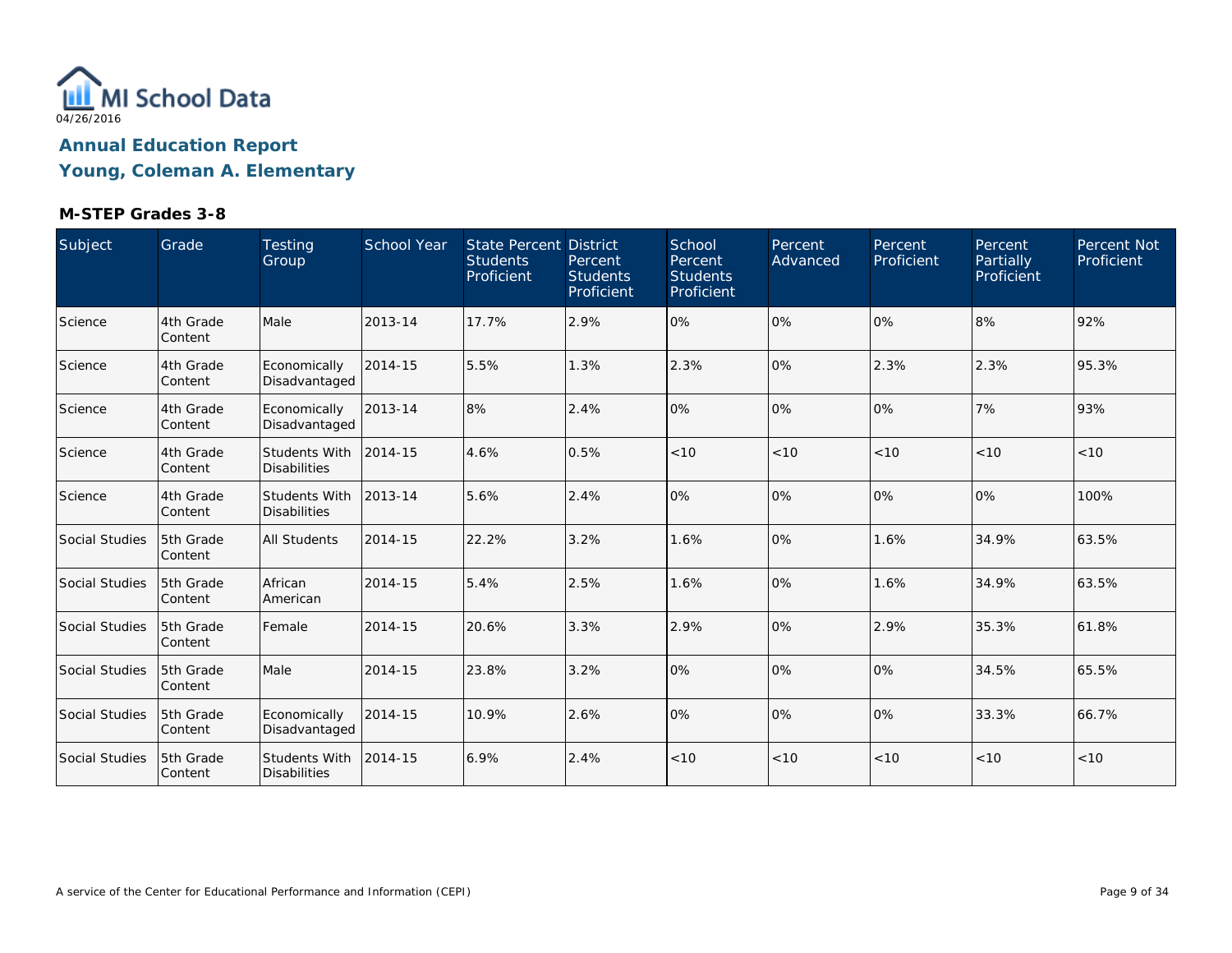

| Subject               | Grade                 | <b>Testing</b><br>Group                     | School Year | <b>State Percent District</b><br><b>Students</b><br>Proficient | Percent<br><b>Students</b><br>Proficient | School<br>Percent<br><b>Students</b><br>Proficient | <b>Percent</b><br>Advanced | Percent<br>Proficient | Percent<br>Partially<br>Proficient | Percent Not<br>Proficient |
|-----------------------|-----------------------|---------------------------------------------|-------------|----------------------------------------------------------------|------------------------------------------|----------------------------------------------------|----------------------------|-----------------------|------------------------------------|---------------------------|
| Science               | 4th Grade<br>Content  | Male                                        | 2013-14     | 17.7%                                                          | 2.9%                                     | 0%                                                 | 0%                         | 0%                    | 8%                                 | 92%                       |
| Science               | 4th Grade<br>Content  | Economically<br>Disadvantaged               | 2014-15     | 5.5%                                                           | 1.3%                                     | 2.3%                                               | 0%                         | 2.3%                  | 2.3%                               | 95.3%                     |
| Science               | 4th Grade<br>Content  | Economically<br>Disadvantaged               | 2013-14     | 8%                                                             | 2.4%                                     | 10%                                                | 0%                         | 0%                    | 7%                                 | 93%                       |
| Science               | 4th Grade<br>Content  | Students With<br><b>Disabilities</b>        | 2014-15     | 4.6%                                                           | 0.5%                                     | < 10                                               | < 10                       | < 10                  | < 10                               | < 10                      |
| Science               | 4th Grade<br>Content  | <b>Students With</b><br><b>Disabilities</b> | 2013-14     | 5.6%                                                           | 2.4%                                     | 0%                                                 | 0%                         | 0%                    | 0%                                 | 100%                      |
| Social Studies        | 5th Grade<br>Content  | <b>All Students</b>                         | 2014-15     | 22.2%                                                          | 3.2%                                     | 1.6%                                               | 0%                         | 1.6%                  | 34.9%                              | 63.5%                     |
| Social Studies        | 5th Grade<br> Content | African<br>American                         | 2014-15     | 5.4%                                                           | 2.5%                                     | 1.6%                                               | 0%                         | 1.6%                  | 34.9%                              | 63.5%                     |
| Social Studies        | 5th Grade<br>Content  | Female                                      | 2014-15     | 20.6%                                                          | 3.3%                                     | 2.9%                                               | 0%                         | 2.9%                  | 35.3%                              | 61.8%                     |
| Social Studies        | 5th Grade<br>Content  | Male                                        | 2014-15     | 23.8%                                                          | 3.2%                                     | 10%                                                | 0%                         | 0%                    | 34.5%                              | 65.5%                     |
| <b>Social Studies</b> | 5th Grade<br>Content  | Economically<br>Disadvantaged               | 2014-15     | 10.9%                                                          | 2.6%                                     | 0%                                                 | 0%                         | 0%                    | 33.3%                              | 66.7%                     |
| Social Studies        | 5th Grade<br>Content  | Students With<br><b>Disabilities</b>        | 2014-15     | 6.9%                                                           | 2.4%                                     | < 10                                               | < 10                       | < 10                  | < 10                               | < 10                      |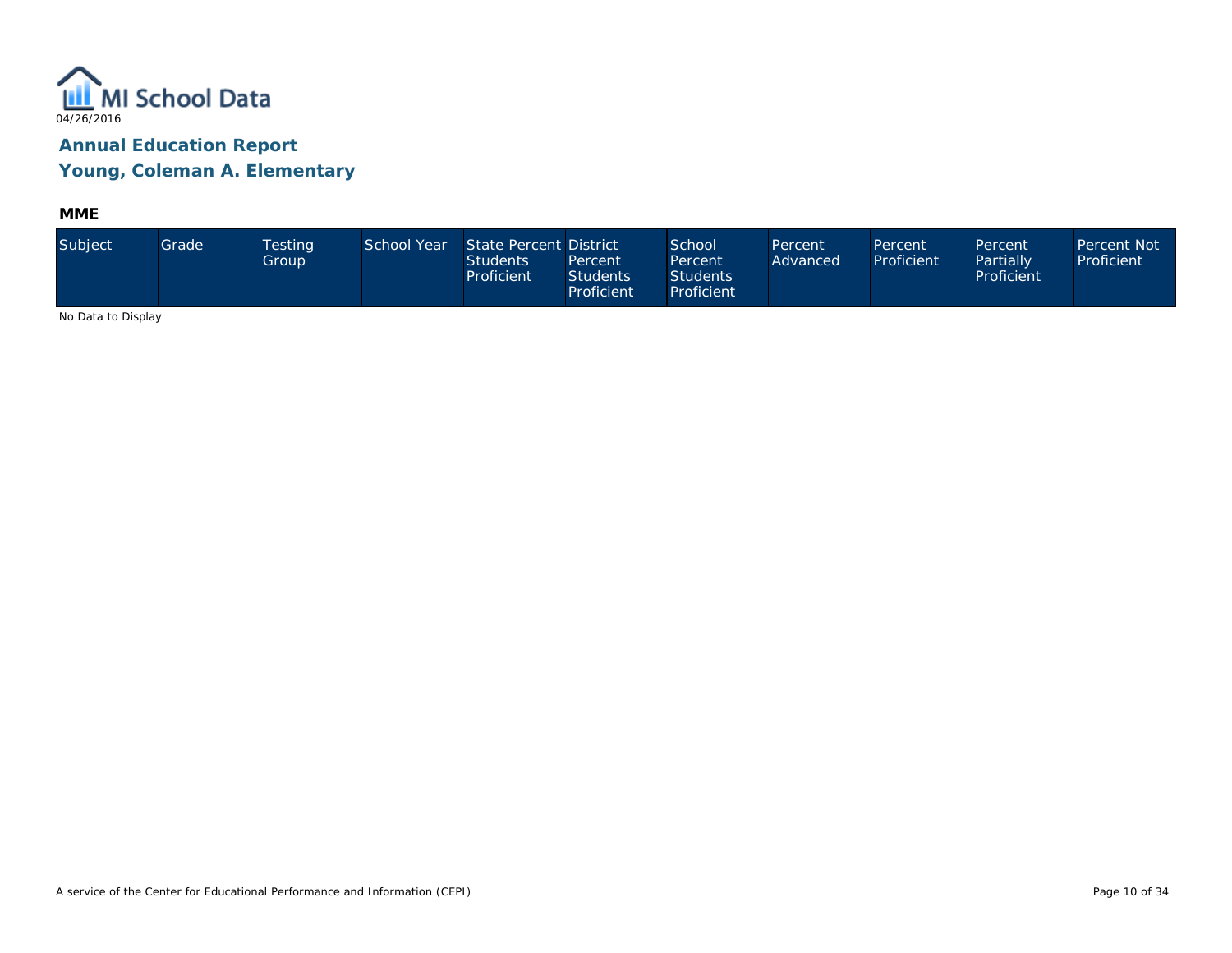

**MME**

| Subject            | Grade | <b>Testing</b><br>Group | School Year | State Percent District<br><b>Students</b><br>Proficient | Percent<br><b>Students</b><br>Proficient | School<br>Percent<br><b>Students</b><br>Proficient | Percent<br>Advanced | Percent<br>Proficient | Percent<br>Partially<br>Proficient | Percent Not<br>Proficient |
|--------------------|-------|-------------------------|-------------|---------------------------------------------------------|------------------------------------------|----------------------------------------------------|---------------------|-----------------------|------------------------------------|---------------------------|
| No Dota to Dianlou |       |                         |             |                                                         |                                          |                                                    |                     |                       |                                    |                           |

No Data to Display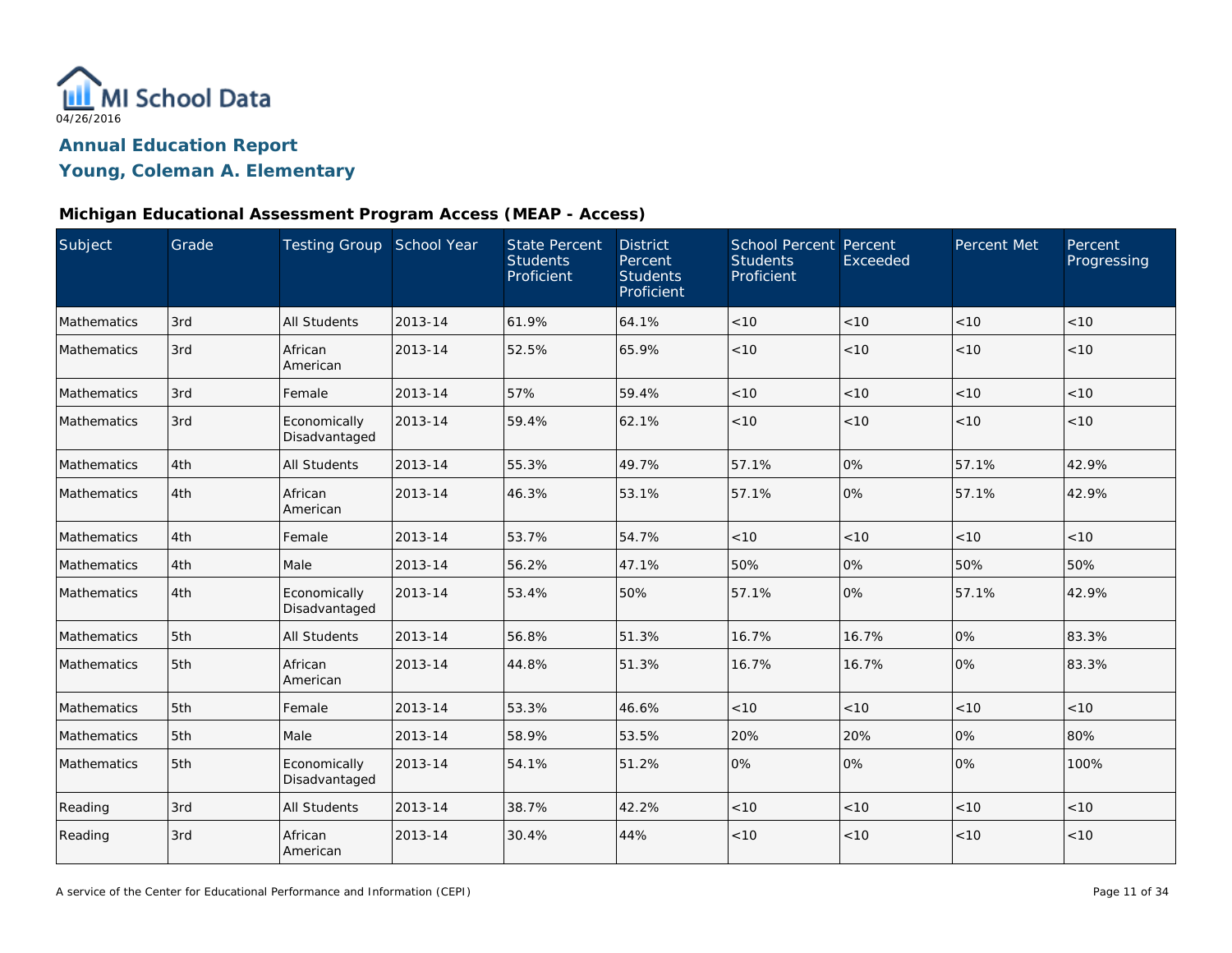

## **Young, Coleman A. Elementary**

### **Michigan Educational Assessment Program Access (MEAP - Access)**

| Subject     | Grade | Testing Group School Year     |         | <b>State Percent</b><br><b>Students</b><br>Proficient | <b>District</b><br>Percent<br><b>Students</b><br>Proficient | <b>School Percent Percent</b><br><b>Students</b><br>Proficient | Exceeded | Percent Met | Percent<br>Progressing |
|-------------|-------|-------------------------------|---------|-------------------------------------------------------|-------------------------------------------------------------|----------------------------------------------------------------|----------|-------------|------------------------|
| Mathematics | 3rd   | <b>All Students</b>           | 2013-14 | 61.9%                                                 | 64.1%                                                       | < 10                                                           | < 10     | < 10        | < 10                   |
| Mathematics | 3rd   | African<br>American           | 2013-14 | 52.5%                                                 | 65.9%                                                       | < 10                                                           | < 10     | < 10        | < 10                   |
| Mathematics | 3rd   | Female                        | 2013-14 | 57%                                                   | 59.4%                                                       | < 10                                                           | < 10     | < 10        | < 10                   |
| Mathematics | 3rd   | Economically<br>Disadvantaged | 2013-14 | 59.4%                                                 | 62.1%                                                       | < 10                                                           | < 10     | < 10        | < 10                   |
| Mathematics | 4th   | <b>All Students</b>           | 2013-14 | 55.3%                                                 | 49.7%                                                       | 57.1%                                                          | 0%       | 57.1%       | 42.9%                  |
| Mathematics | 4th   | African<br>American           | 2013-14 | 46.3%                                                 | 53.1%                                                       | 57.1%                                                          | 0%       | 57.1%       | 42.9%                  |
| Mathematics | 4th   | Female                        | 2013-14 | 53.7%                                                 | 54.7%                                                       | < 10                                                           | < 10     | < 10        | < 10                   |
| Mathematics | 4th   | Male                          | 2013-14 | 56.2%                                                 | 47.1%                                                       | 50%                                                            | 0%       | 50%         | 50%                    |
| Mathematics | 4th   | Economically<br>Disadvantaged | 2013-14 | 53.4%                                                 | 50%                                                         | 57.1%                                                          | 0%       | 57.1%       | 42.9%                  |
| Mathematics | 5th   | <b>All Students</b>           | 2013-14 | 56.8%                                                 | 51.3%                                                       | 16.7%                                                          | 16.7%    | 0%          | 83.3%                  |
| Mathematics | 5th   | African<br>American           | 2013-14 | 44.8%                                                 | 51.3%                                                       | 16.7%                                                          | 16.7%    | 0%          | 83.3%                  |
| Mathematics | 5th   | Female                        | 2013-14 | 53.3%                                                 | 46.6%                                                       | < 10                                                           | < 10     | < 10        | < 10                   |
| Mathematics | 5th   | Male                          | 2013-14 | 58.9%                                                 | 53.5%                                                       | 20%                                                            | 20%      | 0%          | 80%                    |
| Mathematics | 5th   | Economically<br>Disadvantaged | 2013-14 | 54.1%                                                 | 51.2%                                                       | 0%                                                             | 0%       | 0%          | 100%                   |
| Reading     | 3rd   | All Students                  | 2013-14 | 38.7%                                                 | 42.2%                                                       | < 10                                                           | < 10     | < 10        | < 10                   |
| Reading     | 3rd   | African<br>American           | 2013-14 | 30.4%                                                 | 44%                                                         | < 10                                                           | < 10     | < 10        | < 10                   |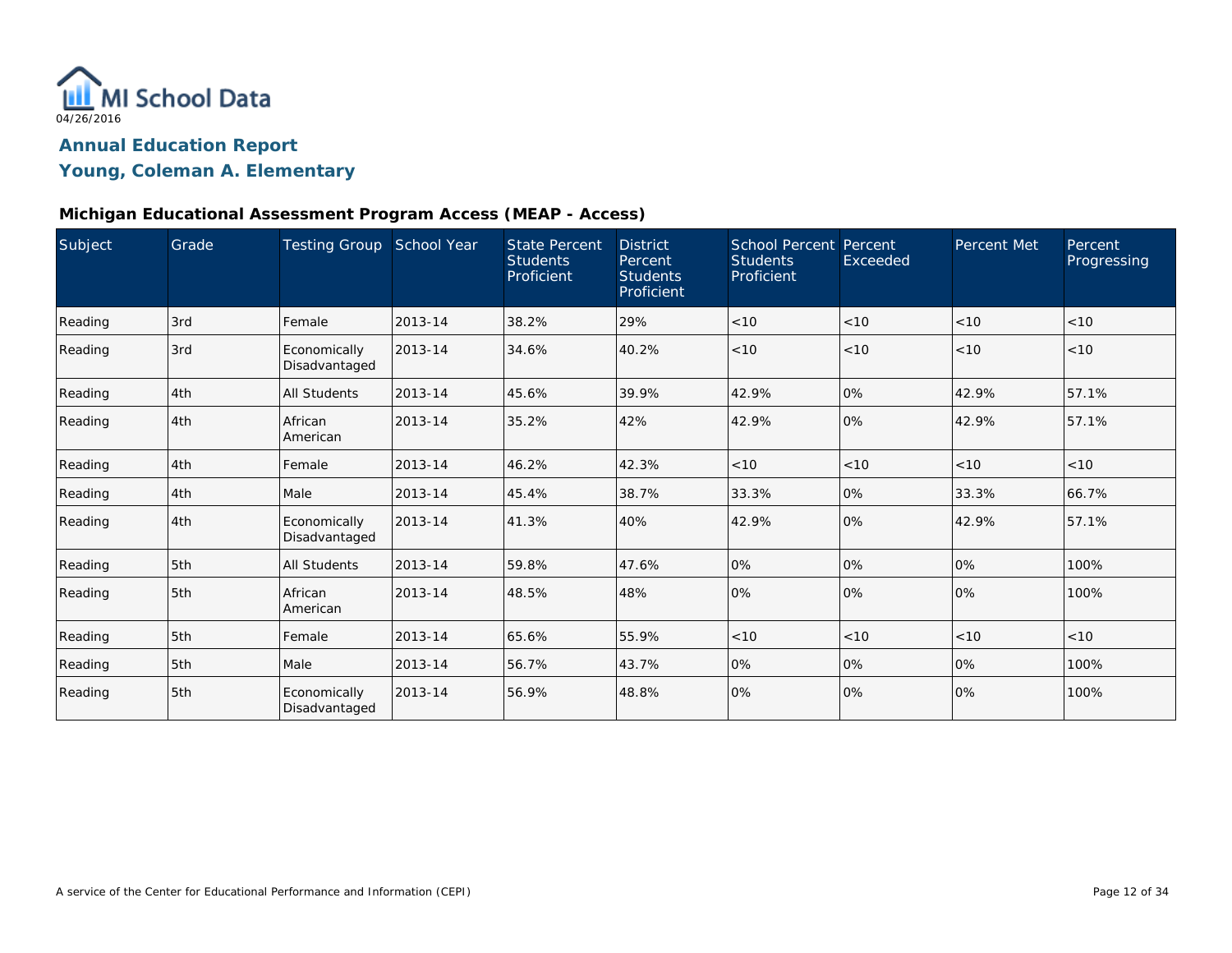

## **Young, Coleman A. Elementary**

### **Michigan Educational Assessment Program Access (MEAP - Access)**

| Subject | Grade | <b>Testing Group</b>          | School Year | <b>State Percent</b><br><b>Students</b><br>Proficient | <b>District</b><br>Percent<br><b>Students</b><br>Proficient | <b>School Percent Percent</b><br><b>Students</b><br>Proficient | Exceeded | Percent Met | Percent<br>Progressing |
|---------|-------|-------------------------------|-------------|-------------------------------------------------------|-------------------------------------------------------------|----------------------------------------------------------------|----------|-------------|------------------------|
| Reading | 3rd   | Female                        | 2013-14     | 38.2%                                                 | 29%                                                         | < 10                                                           | < 10     | < 10        | < 10                   |
| Reading | 3rd   | Economically<br>Disadvantaged | 2013-14     | 34.6%                                                 | 40.2%                                                       | < 10                                                           | < 10     | < 10        | < 10                   |
| Reading | 4th   | <b>All Students</b>           | 2013-14     | 45.6%                                                 | 39.9%                                                       | 42.9%                                                          | 0%       | 42.9%       | 57.1%                  |
| Reading | 4th   | African<br>American           | 2013-14     | 35.2%                                                 | 42%                                                         | 42.9%                                                          | 0%       | 42.9%       | 57.1%                  |
| Reading | 4th   | Female                        | 2013-14     | 46.2%                                                 | 42.3%                                                       | < 10                                                           | < 10     | < 10        | < 10                   |
| Reading | 4th   | Male                          | 2013-14     | 45.4%                                                 | 38.7%                                                       | 33.3%                                                          | 0%       | 33.3%       | 66.7%                  |
| Reading | 4th   | Economically<br>Disadvantaged | 2013-14     | 41.3%                                                 | 40%                                                         | 42.9%                                                          | 0%       | 42.9%       | 57.1%                  |
| Reading | 5th   | <b>All Students</b>           | 2013-14     | 59.8%                                                 | 47.6%                                                       | 0%                                                             | 0%       | 0%          | 100%                   |
| Reading | 5th   | African<br>American           | 2013-14     | 48.5%                                                 | 48%                                                         | 0%                                                             | 0%       | 0%          | 100%                   |
| Reading | 5th   | Female                        | 2013-14     | 65.6%                                                 | 55.9%                                                       | < 10                                                           | < 10     | < 10        | < 10                   |
| Reading | 5th   | Male                          | 2013-14     | 56.7%                                                 | 43.7%                                                       | 0%                                                             | 0%       | 0%          | 100%                   |
| Reading | 5th   | Economically<br>Disadvantaged | 2013-14     | 56.9%                                                 | 48.8%                                                       | 0%                                                             | 0%       | 0%          | 100%                   |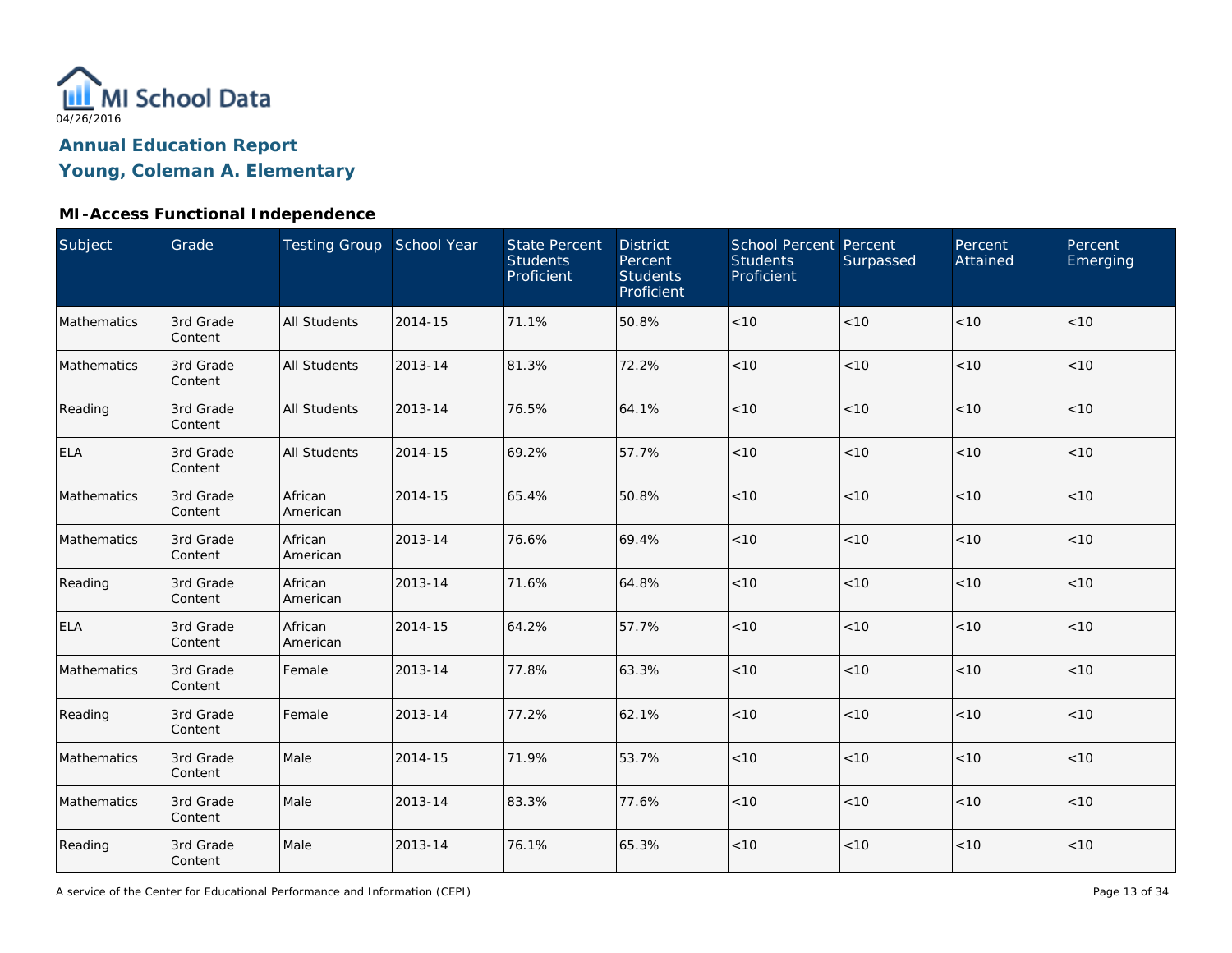

## **Young, Coleman A. Elementary**

| Subject     | Grade                | Testing Group School Year |         | <b>State Percent</b><br><b>Students</b><br>Proficient | <b>District</b><br>Percent<br><b>Students</b><br>Proficient | <b>School Percent Percent</b><br><b>Students</b><br>Proficient | Surpassed | Percent<br>Attained | Percent<br>Emerging |
|-------------|----------------------|---------------------------|---------|-------------------------------------------------------|-------------------------------------------------------------|----------------------------------------------------------------|-----------|---------------------|---------------------|
| Mathematics | 3rd Grade<br>Content | <b>All Students</b>       | 2014-15 | 71.1%                                                 | 50.8%                                                       | $<10$                                                          | < 10      | < 10                | < 10                |
| Mathematics | 3rd Grade<br>Content | <b>All Students</b>       | 2013-14 | 81.3%                                                 | 72.2%                                                       | < 10                                                           | < 10      | < 10                | < 10                |
| Reading     | 3rd Grade<br>Content | <b>All Students</b>       | 2013-14 | 76.5%                                                 | 64.1%                                                       | $<10$                                                          | < 10      | < 10                | < 10                |
| <b>ELA</b>  | 3rd Grade<br>Content | <b>All Students</b>       | 2014-15 | 69.2%                                                 | 57.7%                                                       | $<10$                                                          | < 10      | < 10                | < 10                |
| Mathematics | 3rd Grade<br>Content | African<br>American       | 2014-15 | 65.4%                                                 | 50.8%                                                       | $<10$                                                          | < 10      | < 10                | < 10                |
| Mathematics | 3rd Grade<br>Content | African<br>American       | 2013-14 | 76.6%                                                 | 69.4%                                                       | < 10                                                           | < 10      | < 10                | < 10                |
| Reading     | 3rd Grade<br>Content | African<br>American       | 2013-14 | 71.6%                                                 | 64.8%                                                       | < 10                                                           | < 10      | < 10                | < 10                |
| ELA         | 3rd Grade<br>Content | African<br>American       | 2014-15 | 64.2%                                                 | 57.7%                                                       | < 10                                                           | < 10      | < 10                | < 10                |
| Mathematics | 3rd Grade<br>Content | Female                    | 2013-14 | 77.8%                                                 | 63.3%                                                       | $<10$                                                          | < 10      | < 10                | < 10                |
| Reading     | 3rd Grade<br>Content | Female                    | 2013-14 | 77.2%                                                 | 62.1%                                                       | $<10$                                                          | < 10      | < 10                | < 10                |
| Mathematics | 3rd Grade<br>Content | Male                      | 2014-15 | 71.9%                                                 | 53.7%                                                       | $<10$                                                          | < 10      | < 10                | < 10                |
| Mathematics | 3rd Grade<br>Content | Male                      | 2013-14 | 83.3%                                                 | 77.6%                                                       | $<10$                                                          | < 10      | < 10                | < 10                |
| Reading     | 3rd Grade<br>Content | Male                      | 2013-14 | 76.1%                                                 | 65.3%                                                       | $<10$                                                          | $<10$     | < 10                | < 10                |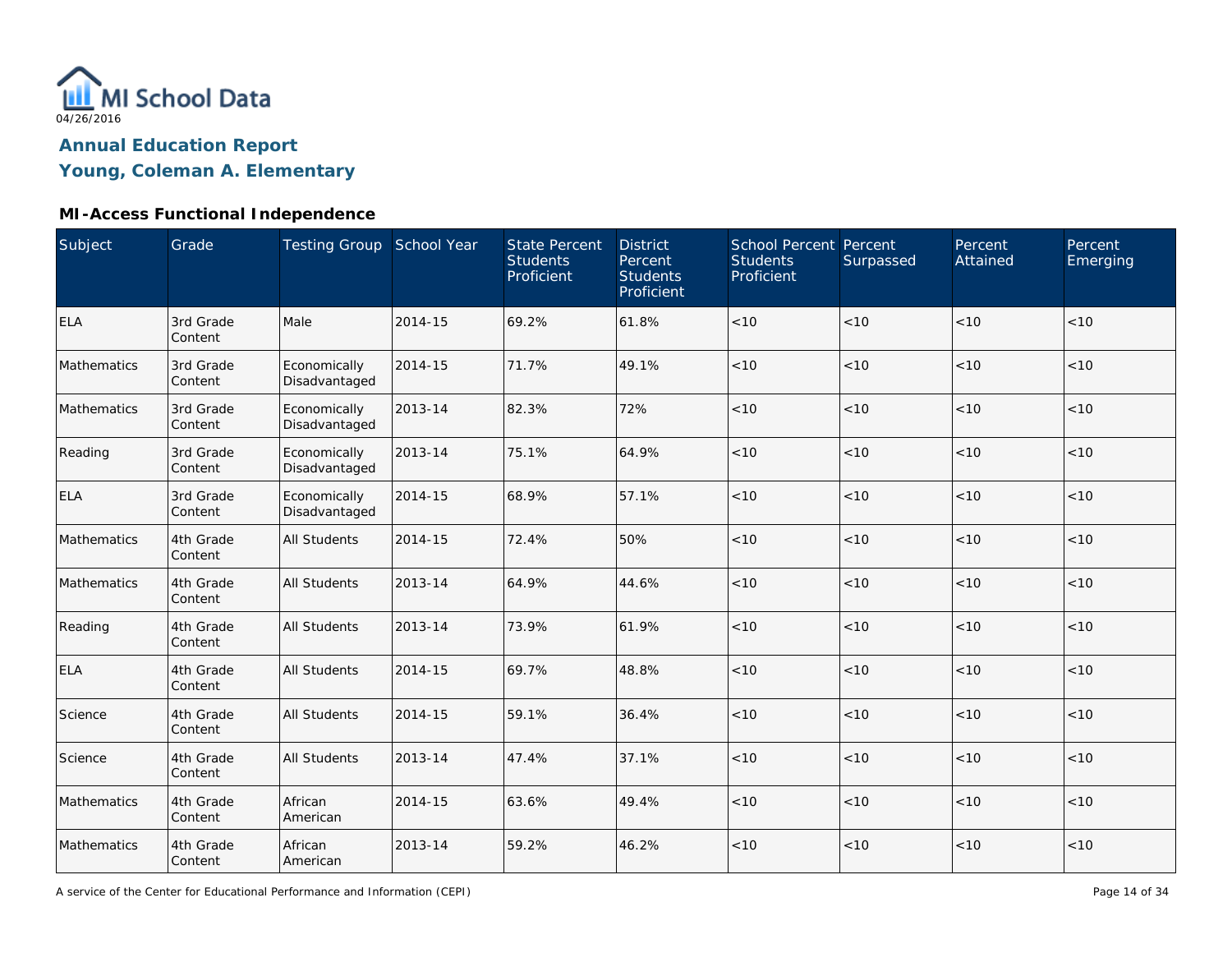

## **Young, Coleman A. Elementary**

| Subject     | Grade                | Testing Group School Year     |         | <b>State Percent</b><br><b>Students</b><br>Proficient | <b>District</b><br>Percent<br><b>Students</b><br>Proficient | School Percent Percent<br><b>Students</b><br>Proficient | Surpassed | Percent<br>Attained | Percent<br>Emerging |
|-------------|----------------------|-------------------------------|---------|-------------------------------------------------------|-------------------------------------------------------------|---------------------------------------------------------|-----------|---------------------|---------------------|
| <b>ELA</b>  | 3rd Grade<br>Content | Male                          | 2014-15 | 69.2%                                                 | 61.8%                                                       | < 10                                                    | < 10      | < 10                | < 10                |
| Mathematics | 3rd Grade<br>Content | Economically<br>Disadvantaged | 2014-15 | 71.7%                                                 | 49.1%                                                       | < 10                                                    | < 10      | < 10                | < 10                |
| Mathematics | 3rd Grade<br>Content | Economically<br>Disadvantaged | 2013-14 | 82.3%                                                 | 72%                                                         | < 10                                                    | < 10      | < 10                | < 10                |
| Reading     | 3rd Grade<br>Content | Economically<br>Disadvantaged | 2013-14 | 75.1%                                                 | 64.9%                                                       | < 10                                                    | < 10      | < 10                | < 10                |
| <b>ELA</b>  | 3rd Grade<br>Content | Economically<br>Disadvantaged | 2014-15 | 68.9%                                                 | 57.1%                                                       | < 10                                                    | < 10      | < 10                | < 10                |
| Mathematics | 4th Grade<br>Content | <b>All Students</b>           | 2014-15 | 72.4%                                                 | 50%                                                         | < 10                                                    | < 10      | < 10                | < 10                |
| Mathematics | 4th Grade<br>Content | <b>All Students</b>           | 2013-14 | 64.9%                                                 | 44.6%                                                       | < 10                                                    | < 10      | < 10                | < 10                |
| Reading     | 4th Grade<br>Content | <b>All Students</b>           | 2013-14 | 73.9%                                                 | 61.9%                                                       | < 10                                                    | < 10      | < 10                | < 10                |
| <b>ELA</b>  | 4th Grade<br>Content | <b>All Students</b>           | 2014-15 | 69.7%                                                 | 48.8%                                                       | $<10$                                                   | $<10$     | < 10                | < 10                |
| Science     | 4th Grade<br>Content | <b>All Students</b>           | 2014-15 | 59.1%                                                 | 36.4%                                                       | $<10$                                                   | < 10      | < 10                | < 10                |
| Science     | 4th Grade<br>Content | <b>All Students</b>           | 2013-14 | 47.4%                                                 | 37.1%                                                       | $<10$                                                   | $<10$     | < 10                | < 10                |
| Mathematics | 4th Grade<br>Content | African<br>American           | 2014-15 | 63.6%                                                 | 49.4%                                                       | $<10$                                                   | < 10      | < 10                | < 10                |
| Mathematics | 4th Grade<br>Content | African<br>American           | 2013-14 | 59.2%                                                 | 46.2%                                                       | $<10$                                                   | < 10      | < 10                | < 10                |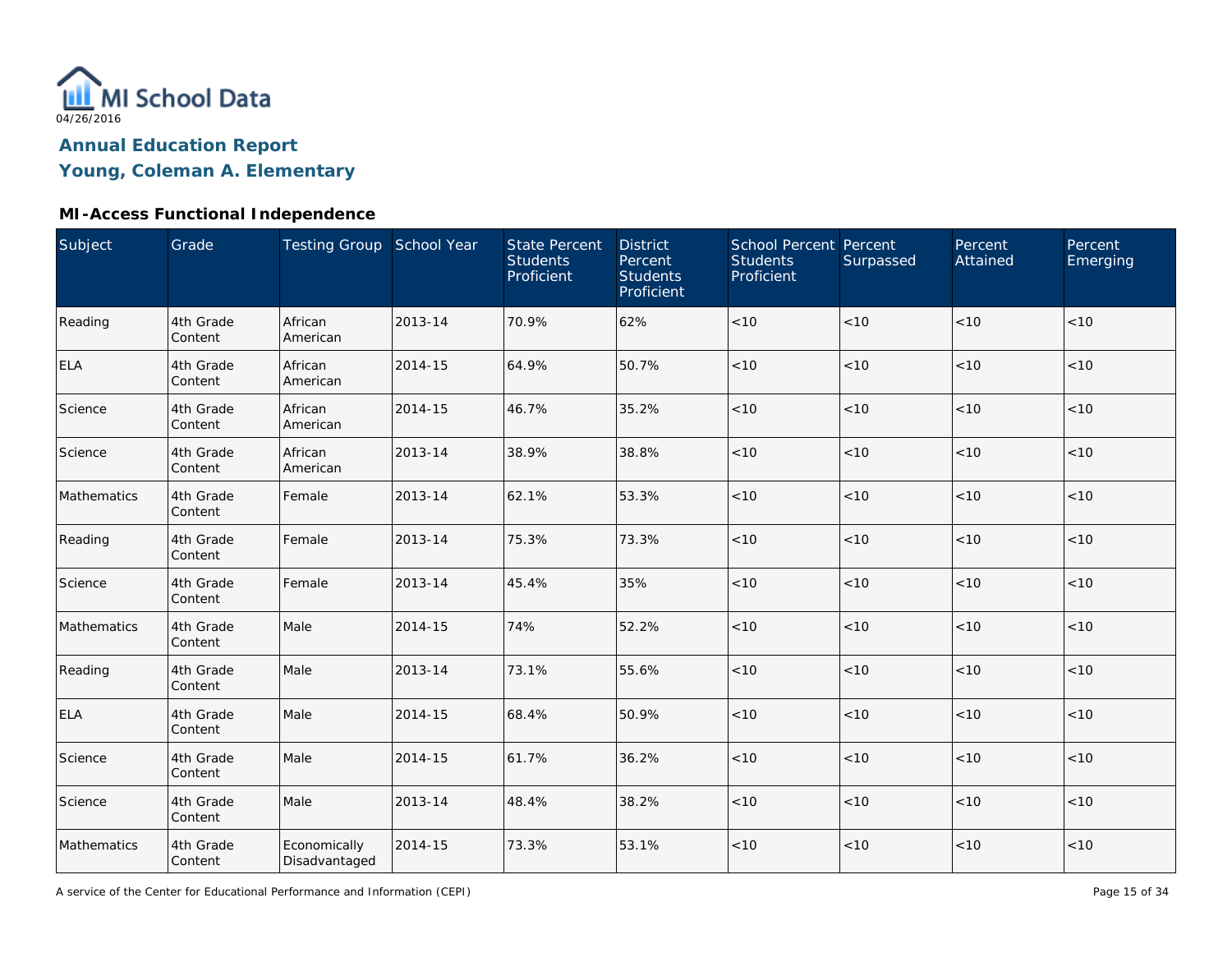

## **Young, Coleman A. Elementary**

| Subject     | Grade                | Testing Group School Year     |         | <b>State Percent</b><br><b>Students</b><br>Proficient | <b>District</b><br>Percent<br><b>Students</b><br>Proficient | School Percent Percent<br><b>Students</b><br>Proficient | Surpassed | Percent<br>Attained | Percent<br>Emerging |
|-------------|----------------------|-------------------------------|---------|-------------------------------------------------------|-------------------------------------------------------------|---------------------------------------------------------|-----------|---------------------|---------------------|
| Reading     | 4th Grade<br>Content | African<br>American           | 2013-14 | 70.9%                                                 | 62%                                                         | $<10$                                                   | < 10      | < 10                | < 10                |
| <b>ELA</b>  | 4th Grade<br>Content | African<br>American           | 2014-15 | 64.9%                                                 | 50.7%                                                       | $<10$                                                   | < 10      | < 10                | < 10                |
| Science     | 4th Grade<br>Content | African<br>American           | 2014-15 | 46.7%                                                 | 35.2%                                                       | $<10$                                                   | < 10      | < 10                | < 10                |
| Science     | 4th Grade<br>Content | African<br>American           | 2013-14 | 38.9%                                                 | 38.8%                                                       | $<10$                                                   | < 10      | < 10                | < 10                |
| Mathematics | 4th Grade<br>Content | Female                        | 2013-14 | 62.1%                                                 | 53.3%                                                       | $<10$                                                   | < 10      | < 10                | < 10                |
| Reading     | 4th Grade<br>Content | Female                        | 2013-14 | 75.3%                                                 | 73.3%                                                       | $<10$                                                   | < 10      | < 10                | < 10                |
| Science     | 4th Grade<br>Content | Female                        | 2013-14 | 45.4%                                                 | 35%                                                         | $<10$                                                   | < 10      | < 10                | < 10                |
| Mathematics | 4th Grade<br>Content | Male                          | 2014-15 | 74%                                                   | 52.2%                                                       | < 10                                                    | < 10      | < 10                | < 10                |
| Reading     | 4th Grade<br>Content | Male                          | 2013-14 | 73.1%                                                 | 55.6%                                                       | $<10$                                                   | $<10$     | < 10                | < 10                |
| <b>ELA</b>  | 4th Grade<br>Content | Male                          | 2014-15 | 68.4%                                                 | 50.9%                                                       | $<10$                                                   | < 10      | < 10                | < 10                |
| Science     | 4th Grade<br>Content | Male                          | 2014-15 | 61.7%                                                 | 36.2%                                                       | $<10$                                                   | $<10$     | < 10                | < 10                |
| Science     | 4th Grade<br>Content | Male                          | 2013-14 | 48.4%                                                 | 38.2%                                                       | $<10$                                                   | $<10$     | < 10                | < 10                |
| Mathematics | 4th Grade<br>Content | Economically<br>Disadvantaged | 2014-15 | 73.3%                                                 | 53.1%                                                       | $<10$                                                   | $<10$     | < 10                | $<10$               |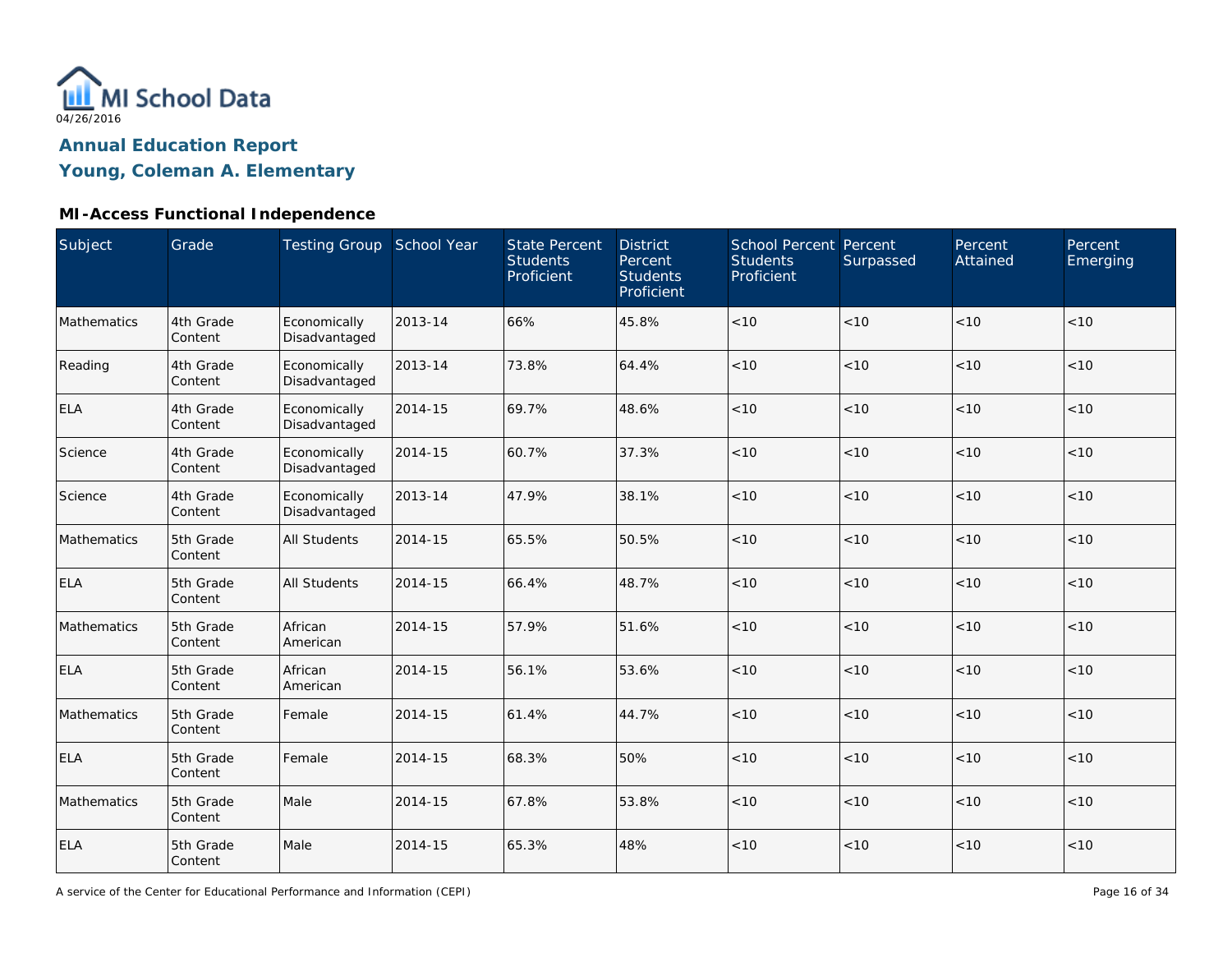

## **Young, Coleman A. Elementary**

| Subject     | Grade                | Testing Group School Year     |         | <b>State Percent</b><br><b>Students</b><br>Proficient | <b>District</b><br>Percent<br><b>Students</b><br>Proficient | School Percent Percent<br><b>Students</b><br>Proficient | Surpassed | Percent<br>Attained | Percent<br>Emerging |
|-------------|----------------------|-------------------------------|---------|-------------------------------------------------------|-------------------------------------------------------------|---------------------------------------------------------|-----------|---------------------|---------------------|
| Mathematics | 4th Grade<br>Content | Economically<br>Disadvantaged | 2013-14 | 66%                                                   | 45.8%                                                       | < 10                                                    | < 10      | < 10                | < 10                |
| Reading     | 4th Grade<br>Content | Economically<br>Disadvantaged | 2013-14 | 73.8%                                                 | 64.4%                                                       | < 10                                                    | < 10      | < 10                | < 10                |
| <b>ELA</b>  | 4th Grade<br>Content | Economically<br>Disadvantaged | 2014-15 | 69.7%                                                 | 48.6%                                                       | < 10                                                    | < 10      | < 10                | < 10                |
| Science     | 4th Grade<br>Content | Economically<br>Disadvantaged | 2014-15 | 60.7%                                                 | 37.3%                                                       | < 10                                                    | < 10      | < 10                | < 10                |
| Science     | 4th Grade<br>Content | Economically<br>Disadvantaged | 2013-14 | 47.9%                                                 | 38.1%                                                       | < 10                                                    | < 10      | < 10                | < 10                |
| Mathematics | 5th Grade<br>Content | <b>All Students</b>           | 2014-15 | 65.5%                                                 | 50.5%                                                       | < 10                                                    | < 10      | < 10                | < 10                |
| <b>ELA</b>  | 5th Grade<br>Content | <b>All Students</b>           | 2014-15 | 66.4%                                                 | 48.7%                                                       | < 10                                                    | < 10      | < 10                | < 10                |
| Mathematics | 5th Grade<br>Content | African<br>American           | 2014-15 | 57.9%                                                 | 51.6%                                                       | < 10                                                    | < 10      | < 10                | < 10                |
| <b>ELA</b>  | 5th Grade<br>Content | African<br>American           | 2014-15 | 56.1%                                                 | 53.6%                                                       | $<10$                                                   | < 10      | < 10                | < 10                |
| Mathematics | 5th Grade<br>Content | Female                        | 2014-15 | 61.4%                                                 | 44.7%                                                       | $<10$                                                   | < 10      | < 10                | < 10                |
| <b>ELA</b>  | 5th Grade<br>Content | Female                        | 2014-15 | 68.3%                                                 | 50%                                                         | $<10$                                                   | < 10      | < 10                | < 10                |
| Mathematics | 5th Grade<br>Content | Male                          | 2014-15 | 67.8%                                                 | 53.8%                                                       | < 10                                                    | < 10      | < 10                | < 10                |
| <b>ELA</b>  | 5th Grade<br>Content | Male                          | 2014-15 | 65.3%                                                 | 48%                                                         | < 10                                                    | < 10      | < 10                | < 10                |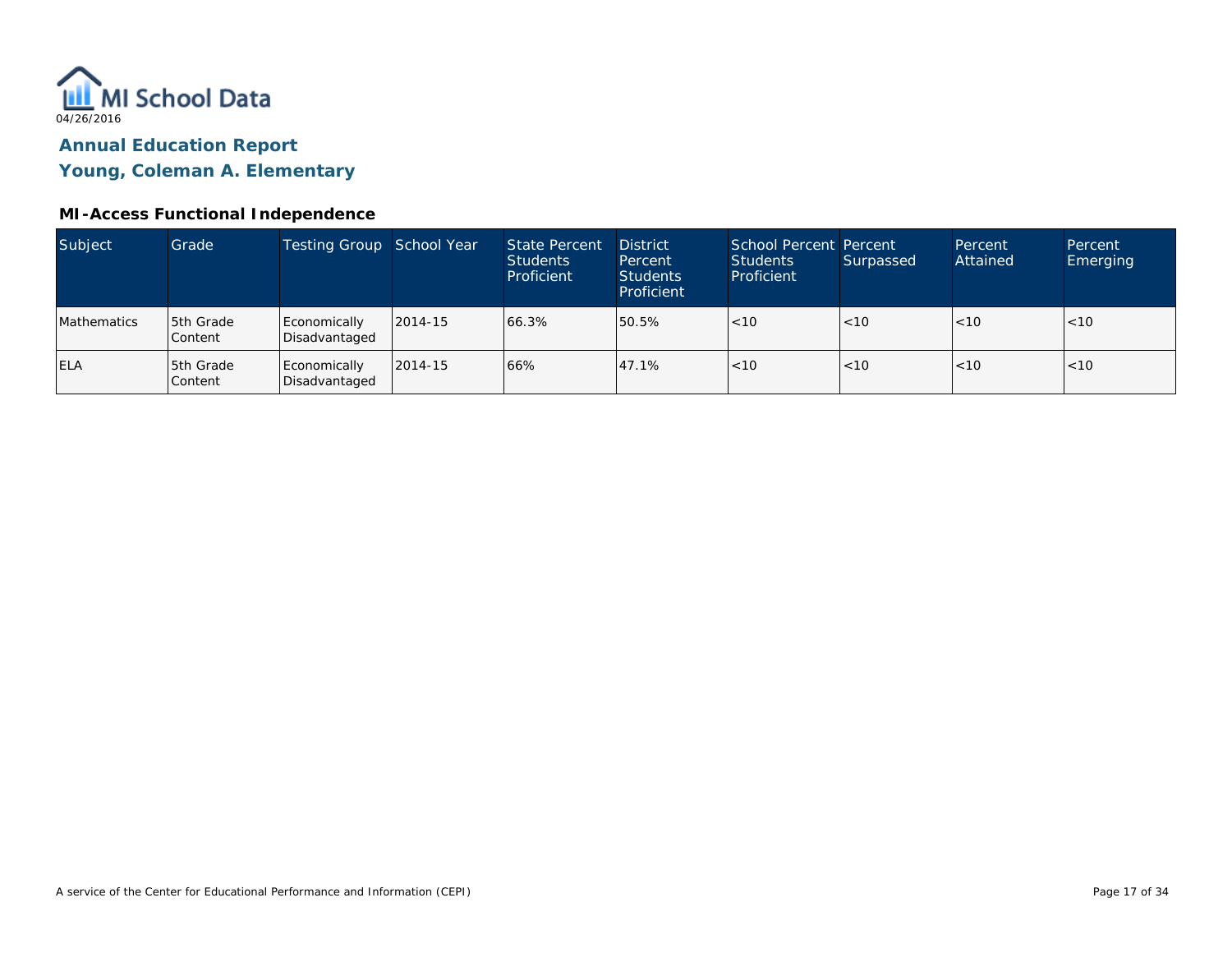

**Young, Coleman A. Elementary**

| Subject     | Grade                | Testing Group School Year     |         | State Percent<br><b>Students</b><br>Proficient | <b>District</b><br>Percent<br>Students<br>Proficient | School Percent Percent<br><b>Students</b><br>Proficient | Surpassed | Percent<br>Attained | Percent<br><b>Emerging</b> |
|-------------|----------------------|-------------------------------|---------|------------------------------------------------|------------------------------------------------------|---------------------------------------------------------|-----------|---------------------|----------------------------|
| Mathematics | 5th Grade<br>Content | Economically<br>Disadvantaged | 2014-15 | 66.3%                                          | 50.5%                                                | < 10                                                    | < 10      | < 10                | < 10                       |
| <b>ELA</b>  | 5th Grade<br>Content | Economically<br>Disadvantaged | 2014-15 | 66%                                            | 47.1%                                                | < 10                                                    | < 10      | < 10                | <10                        |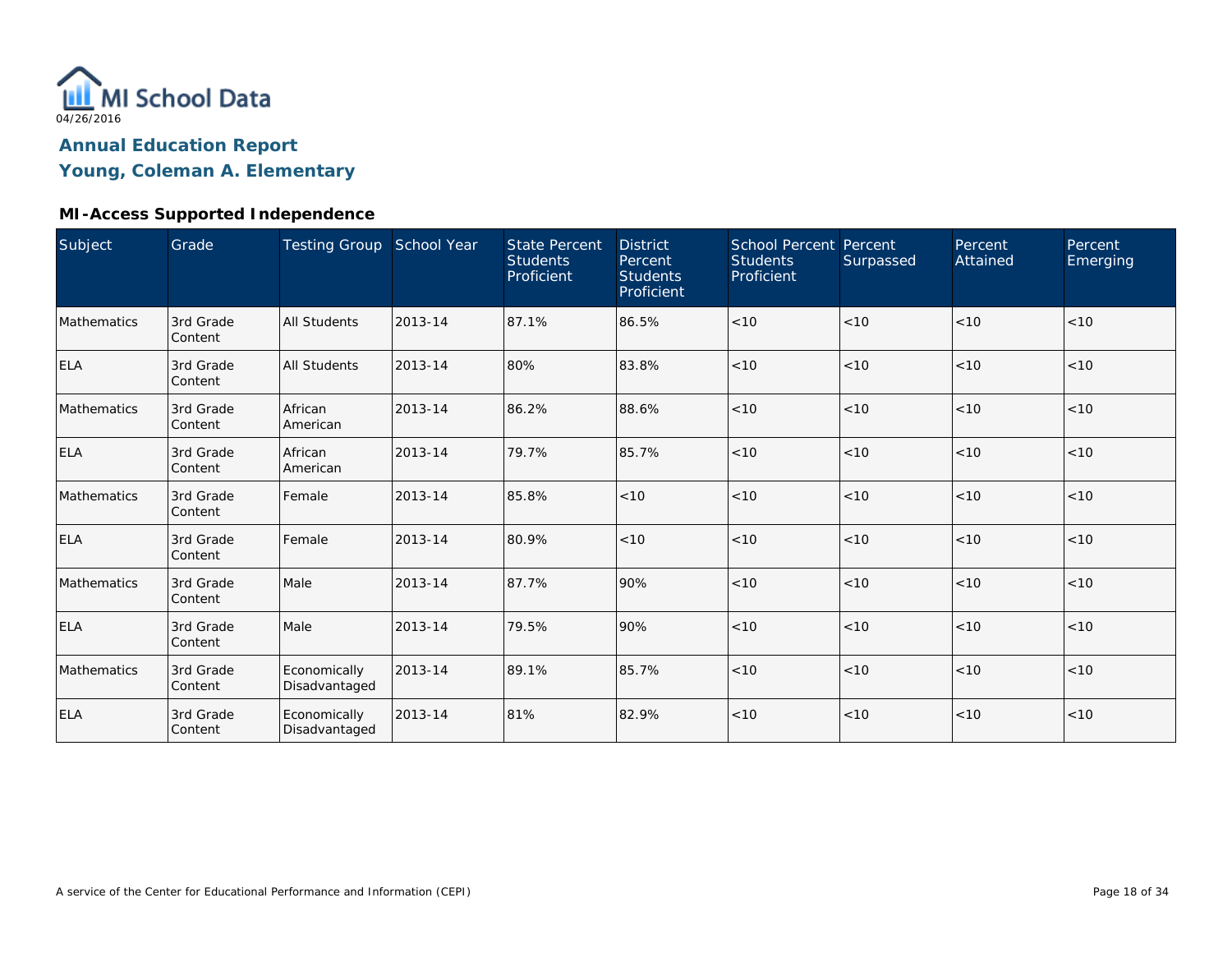

## **Young, Coleman A. Elementary**

### **MI-Access Supported Independence**

| Subject     | Grade                | Testing Group School Year     |         | <b>State Percent</b><br><b>Students</b><br>Proficient | <b>District</b><br>Percent<br><b>Students</b><br>Proficient | School Percent Percent<br><b>Students</b><br>Proficient | Surpassed | Percent<br>Attained | Percent<br><b>Emerging</b> |
|-------------|----------------------|-------------------------------|---------|-------------------------------------------------------|-------------------------------------------------------------|---------------------------------------------------------|-----------|---------------------|----------------------------|
| Mathematics | 3rd Grade<br>Content | <b>All Students</b>           | 2013-14 | 87.1%                                                 | 86.5%                                                       | < 10                                                    | <10       | < 10                | < 10                       |
| <b>ELA</b>  | 3rd Grade<br>Content | <b>All Students</b>           | 2013-14 | 80%                                                   | 83.8%                                                       | < 10                                                    | < 10      | < 10                | < 10                       |
| Mathematics | 3rd Grade<br>Content | African<br>American           | 2013-14 | 86.2%                                                 | 88.6%                                                       | < 10                                                    | < 10      | < 10                | < 10                       |
| <b>ELA</b>  | 3rd Grade<br>Content | African<br>American           | 2013-14 | 79.7%                                                 | 85.7%                                                       | < 10                                                    | < 10      | < 10                | < 10                       |
| Mathematics | 3rd Grade<br>Content | Female                        | 2013-14 | 85.8%                                                 | < 10                                                        | < 10                                                    | < 10      | < 10                | < 10                       |
| <b>ELA</b>  | 3rd Grade<br>Content | Female                        | 2013-14 | 80.9%                                                 | < 10                                                        | < 10                                                    | < 10      | < 10                | < 10                       |
| Mathematics | 3rd Grade<br>Content | Male                          | 2013-14 | 87.7%                                                 | 90%                                                         | < 10                                                    | < 10      | < 10                | < 10                       |
| <b>ELA</b>  | 3rd Grade<br>Content | Male                          | 2013-14 | 79.5%                                                 | 90%                                                         | < 10                                                    | < 10      | < 10                | < 10                       |
| Mathematics | 3rd Grade<br>Content | Economically<br>Disadvantaged | 2013-14 | 89.1%                                                 | 85.7%                                                       | < 10                                                    | < 10      | < 10                | < 10                       |
| <b>ELA</b>  | 3rd Grade<br>Content | Economically<br>Disadvantaged | 2013-14 | 81%                                                   | 82.9%                                                       | < 10                                                    | < 10      | < 10                | < 10                       |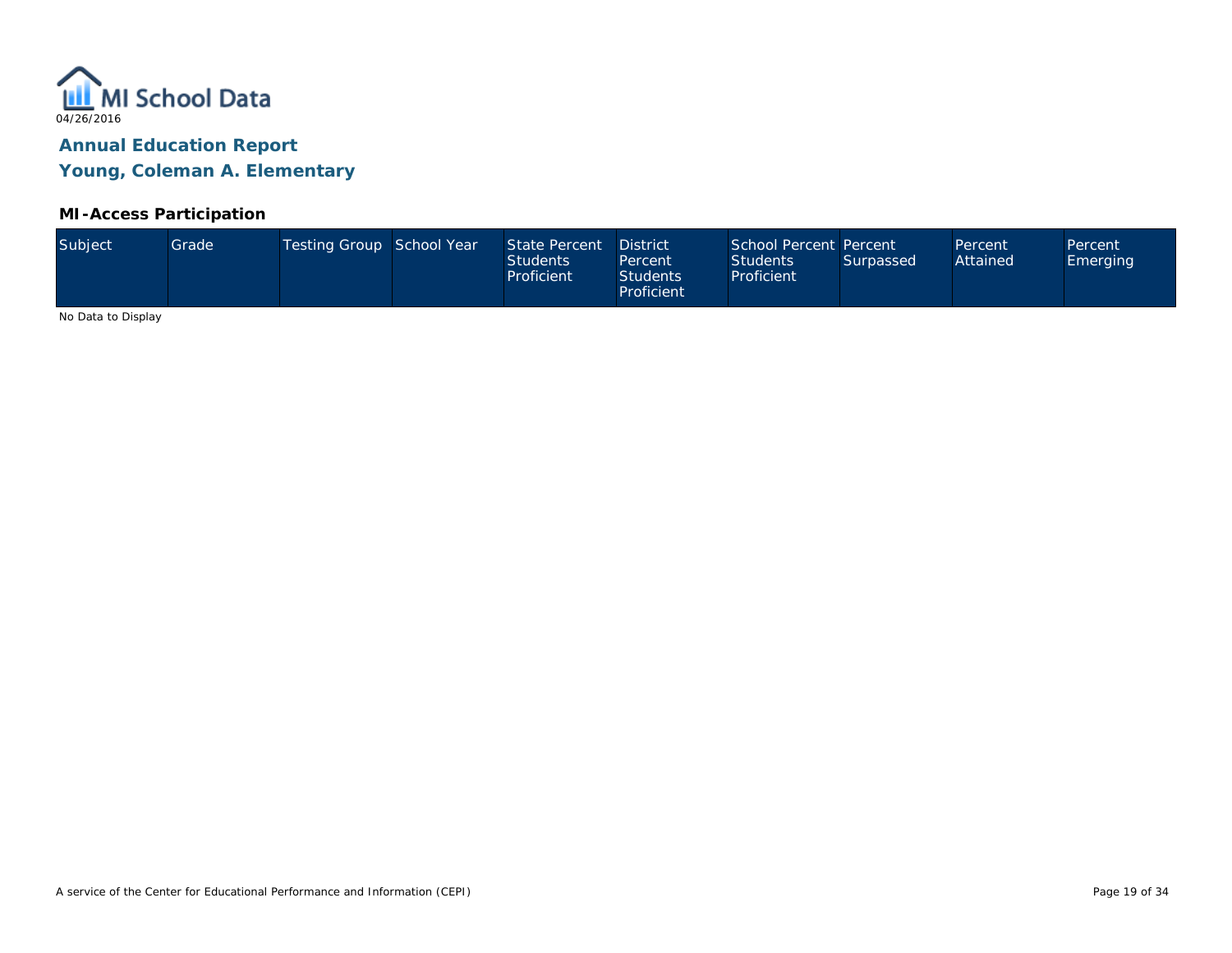

### **MI-Access Participation**

|  | Subject | Grade <sup>1</sup> | Testing Group School Year |  | State Percent<br><b>Students</b><br>Proficient | <b>District</b><br>Percent<br><b>Students</b><br>Proficient | School Percent Percent<br><b>Students</b><br>Proficient | Surpassed | Percent<br>Attained | Percent<br>Emerging |
|--|---------|--------------------|---------------------------|--|------------------------------------------------|-------------------------------------------------------------|---------------------------------------------------------|-----------|---------------------|---------------------|
|--|---------|--------------------|---------------------------|--|------------------------------------------------|-------------------------------------------------------------|---------------------------------------------------------|-----------|---------------------|---------------------|

No Data to Display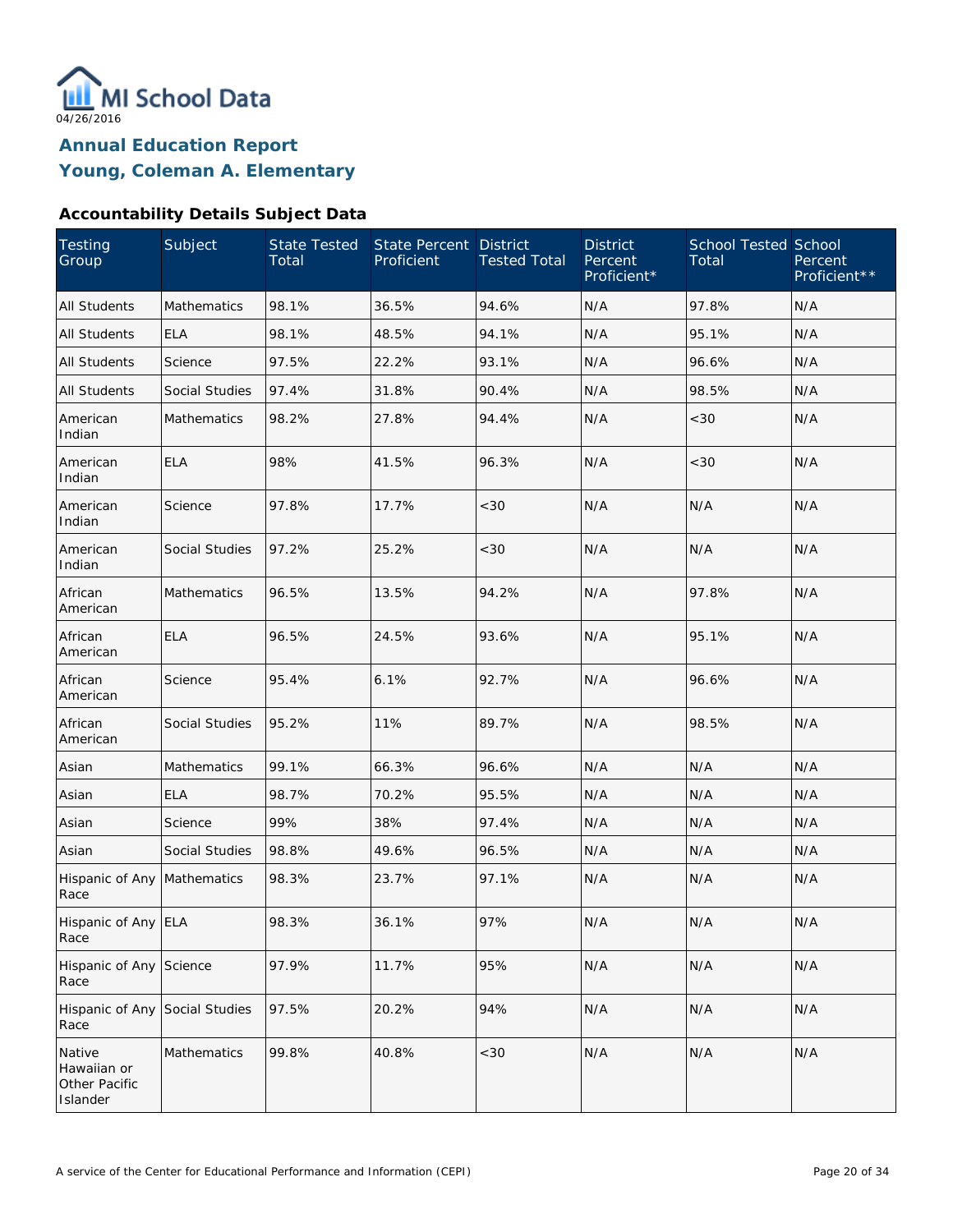

### **Accountability Details Subject Data**

| Testing<br>Group                                   | Subject               | <b>State Tested</b><br>Total | <b>State Percent</b><br>Proficient | <b>District</b><br><b>Tested Total</b> | <b>District</b><br>Percent<br>Proficient* | <b>School Tested School</b><br>Total | Percent<br>Proficient** |
|----------------------------------------------------|-----------------------|------------------------------|------------------------------------|----------------------------------------|-------------------------------------------|--------------------------------------|-------------------------|
| <b>All Students</b>                                | <b>Mathematics</b>    | 98.1%                        | 36.5%                              | 94.6%                                  | N/A                                       | 97.8%                                | N/A                     |
| <b>All Students</b>                                | <b>ELA</b>            | 98.1%                        | 48.5%                              | 94.1%                                  | N/A                                       | 95.1%                                | N/A                     |
| <b>All Students</b>                                | Science               | 97.5%                        | 22.2%                              | 93.1%                                  | N/A                                       | 96.6%                                | N/A                     |
| <b>All Students</b>                                | <b>Social Studies</b> | 97.4%                        | 31.8%                              | 90.4%                                  | N/A                                       | 98.5%                                | N/A                     |
| American<br>Indian                                 | <b>Mathematics</b>    | 98.2%                        | 27.8%                              | 94.4%                                  | N/A                                       | <30                                  | N/A                     |
| American<br>Indian                                 | <b>ELA</b>            | 98%                          | 41.5%                              | 96.3%                                  | N/A                                       | <30                                  | N/A                     |
| American<br>Indian                                 | Science               | 97.8%                        | 17.7%                              | <30                                    | N/A                                       | N/A                                  | N/A                     |
| American<br>Indian                                 | <b>Social Studies</b> | 97.2%                        | 25.2%                              | <30                                    | N/A                                       | N/A                                  | N/A                     |
| African<br>American                                | Mathematics           | 96.5%                        | 13.5%                              | 94.2%                                  | N/A                                       | 97.8%                                | N/A                     |
| African<br>American                                | <b>ELA</b>            | 96.5%                        | 24.5%                              | 93.6%                                  | N/A                                       | 95.1%                                | N/A                     |
| African<br>American                                | Science               | 95.4%                        | 6.1%                               | 92.7%                                  | N/A                                       | 96.6%                                | N/A                     |
| African<br>American                                | Social Studies        | 95.2%                        | 11%                                | 89.7%                                  | N/A                                       | 98.5%                                | N/A                     |
| Asian                                              | Mathematics           | 99.1%                        | 66.3%                              | 96.6%                                  | N/A                                       | N/A                                  | N/A                     |
| Asian                                              | <b>ELA</b>            | 98.7%                        | 70.2%                              | 95.5%                                  | N/A                                       | N/A                                  | N/A                     |
| Asian                                              | Science               | 99%                          | 38%                                | 97.4%                                  | N/A                                       | N/A                                  | N/A                     |
| Asian                                              | <b>Social Studies</b> | 98.8%                        | 49.6%                              | 96.5%                                  | N/A                                       | N/A                                  | N/A                     |
| Hispanic of Any Mathematics<br>Race                |                       | 98.3%                        | 23.7%                              | 97.1%                                  | N/A                                       | N/A                                  | N/A                     |
| Hispanic of Any ELA<br>Race                        |                       | 98.3%                        | 36.1%                              | 97%                                    | N/A                                       | N/A                                  | N/A                     |
| Hispanic of Any Science<br>Race                    |                       | 97.9%                        | 11.7%                              | 95%                                    | N/A                                       | N/A                                  | N/A                     |
| Hispanic of Any Social Studies<br>Race             |                       | 97.5%                        | 20.2%                              | 94%                                    | N/A                                       | N/A                                  | N/A                     |
| Native<br>Hawaiian or<br>Other Pacific<br>Islander | Mathematics           | 99.8%                        | 40.8%                              | $<$ 30                                 | N/A                                       | N/A                                  | N/A                     |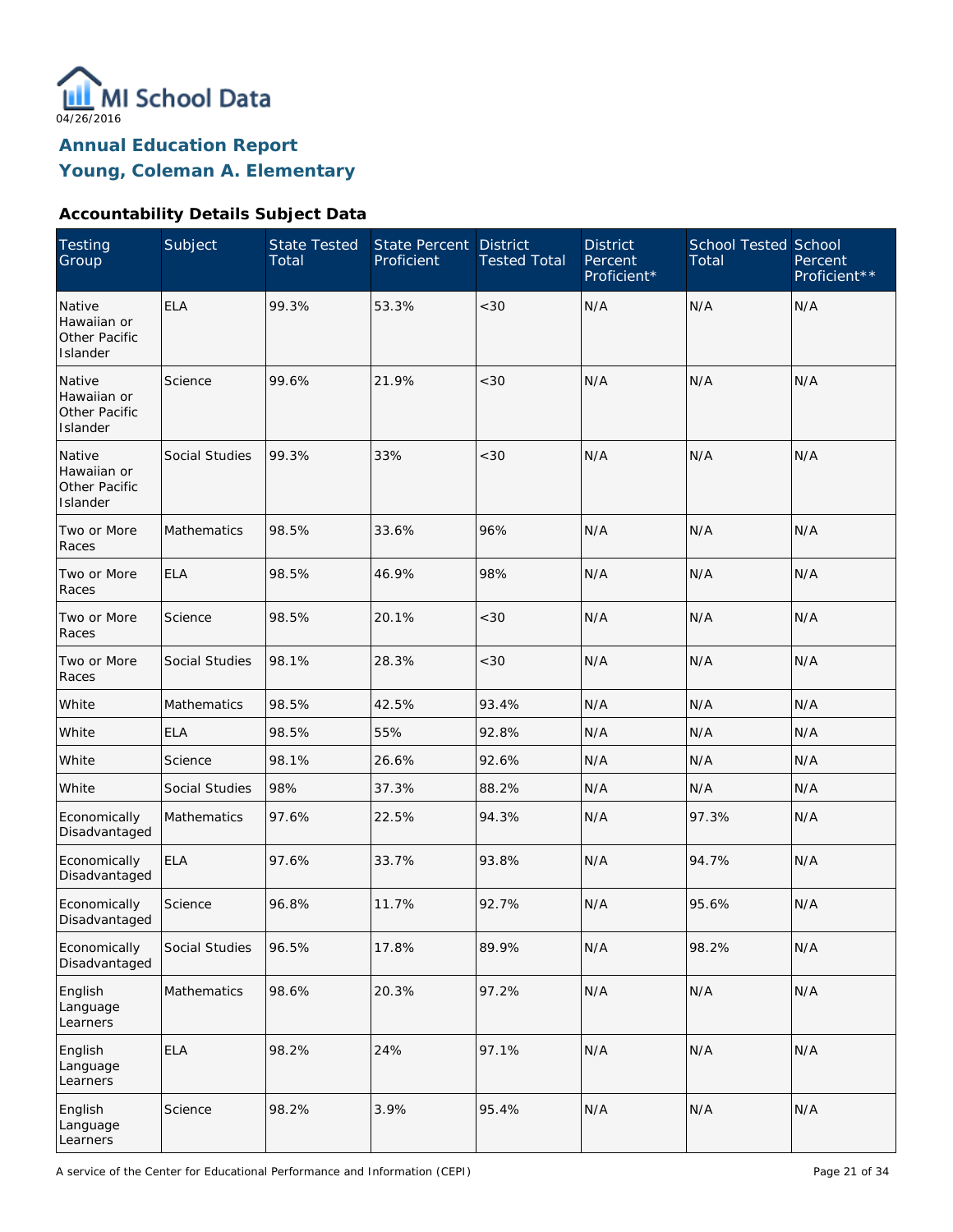

### **Accountability Details Subject Data**

| <b>Testing</b><br>Group                                   | Subject            | <b>State Tested</b><br>Total | State Percent<br>Proficient | <b>District</b><br><b>Tested Total</b> | <b>District</b><br>Percent<br>Proficient* | <b>School Tested School</b><br>Total | Percent<br>Proficient** |
|-----------------------------------------------------------|--------------------|------------------------------|-----------------------------|----------------------------------------|-------------------------------------------|--------------------------------------|-------------------------|
| Native<br>Hawaiian or<br><b>Other Pacific</b><br>Islander | <b>ELA</b>         | 99.3%                        | 53.3%                       | < 30                                   | N/A                                       | N/A                                  | N/A                     |
| Native<br>Hawaiian or<br>Other Pacific<br>Islander        | Science            | 99.6%                        | 21.9%                       | < 30                                   | N/A                                       | N/A                                  | N/A                     |
| Native<br>Hawaiian or<br>Other Pacific<br>Islander        | Social Studies     | 99.3%                        | 33%                         | < 30                                   | N/A                                       | N/A                                  | N/A                     |
| Two or More<br>Races                                      | Mathematics        | 98.5%                        | 33.6%                       | 96%                                    | N/A                                       | N/A                                  | N/A                     |
| Two or More<br>Races                                      | <b>ELA</b>         | 98.5%                        | 46.9%                       | 98%                                    | N/A                                       | N/A                                  | N/A                     |
| Two or More<br>Races                                      | Science            | 98.5%                        | 20.1%                       | $<30$                                  | N/A                                       | N/A                                  | N/A                     |
| Two or More<br>Races                                      | Social Studies     | 98.1%                        | 28.3%                       | $<30$                                  | N/A                                       | N/A                                  | N/A                     |
| White                                                     | <b>Mathematics</b> | 98.5%                        | 42.5%                       | 93.4%                                  | N/A                                       | N/A                                  | N/A                     |
| White                                                     | <b>ELA</b>         | 98.5%                        | 55%                         | 92.8%                                  | N/A                                       | N/A                                  | N/A                     |
| White                                                     | Science            | 98.1%                        | 26.6%                       | 92.6%                                  | N/A                                       | N/A                                  | N/A                     |
| White                                                     | Social Studies     | 98%                          | 37.3%                       | 88.2%                                  | N/A                                       | N/A                                  | N/A                     |
| Economically<br>Disadvantaged                             | <b>Mathematics</b> | 97.6%                        | 22.5%                       | 94.3%                                  | N/A                                       | 97.3%                                | N/A                     |
| Economically<br>Disadvantaged                             | <b>ELA</b>         | 97.6%                        | 33.7%                       | 93.8%                                  | N/A                                       | 94.7%                                | N/A                     |
| Economically<br>Disadvantaged                             | Science            | 96.8%                        | 11.7%                       | 92.7%                                  | N/A                                       | 95.6%                                | N/A                     |
| Economically<br>Disadvantaged                             | Social Studies     | 96.5%                        | 17.8%                       | 89.9%                                  | N/A                                       | 98.2%                                | N/A                     |
| English<br>Language<br>Learners                           | Mathematics        | 98.6%                        | 20.3%                       | 97.2%                                  | N/A                                       | N/A                                  | N/A                     |
| English<br>Language<br>Learners                           | <b>ELA</b>         | 98.2%                        | 24%                         | 97.1%                                  | N/A                                       | N/A                                  | N/A                     |
| English<br>Language<br>Learners                           | Science            | 98.2%                        | 3.9%                        | 95.4%                                  | N/A                                       | N/A                                  | N/A                     |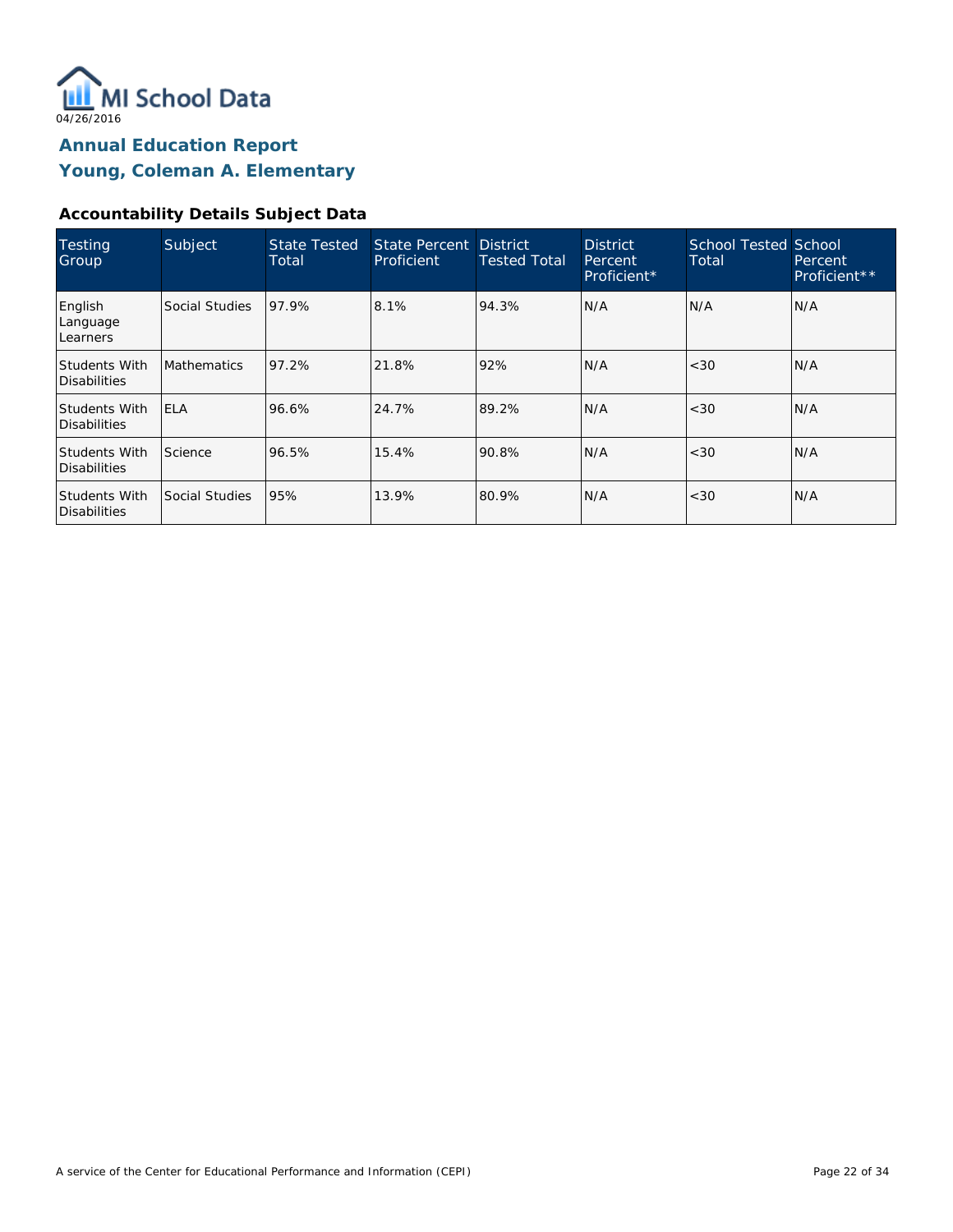

### **Accountability Details Subject Data**

| Testing<br>Group                     | Subject            | <b>State Tested</b><br>Total | State Percent District<br>Proficient | <b>Tested Total</b> | <b>District</b><br>Percent<br>Proficient* | <b>School Tested School</b><br>Total | Percent<br>Proficient** |
|--------------------------------------|--------------------|------------------------------|--------------------------------------|---------------------|-------------------------------------------|--------------------------------------|-------------------------|
| English<br>Language<br>Learners      | Social Studies     | 97.9%                        | 8.1%                                 | 94.3%               | N/A                                       | N/A                                  | IN/A                    |
| <b>Students With</b><br>Disabilities | <b>Mathematics</b> | 97.2%                        | 21.8%                                | 92%                 | N/A                                       | <30                                  | IN/A                    |
| <b>Students With</b><br>Disabilities | <b>ELA</b>         | 96.6%                        | 24.7%                                | 89.2%               | N/A                                       | <30                                  | IN/A                    |
| <b>Students With</b><br>Disabilities | Science            | 96.5%                        | 15.4%                                | 90.8%               | N/A                                       | <30                                  | IN/A                    |
| <b>Students With</b><br>Disabilities | Social Studies     | 95%                          | 13.9%                                | 80.9%               | N/A                                       | <30                                  | IN/A                    |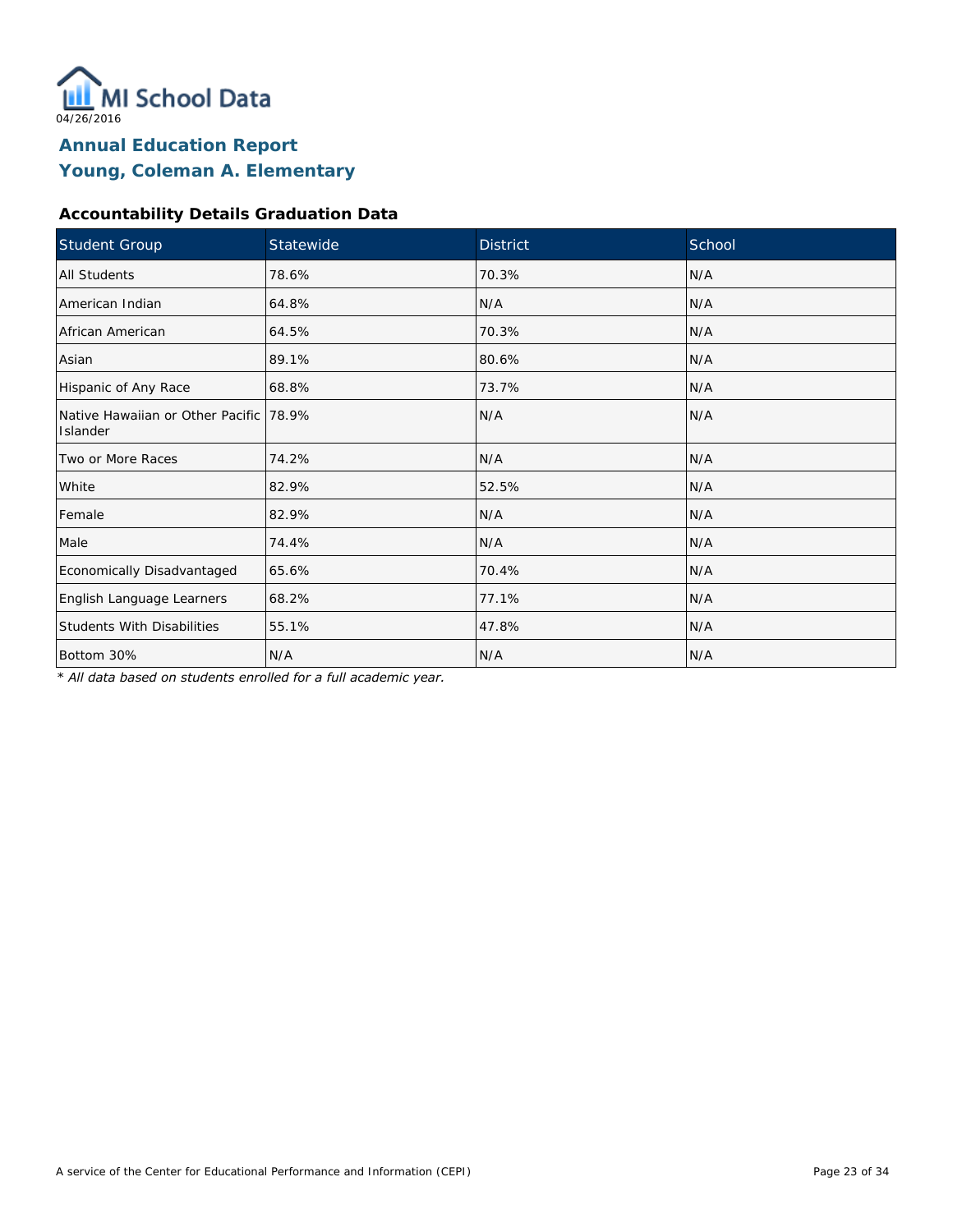

### **Accountability Details Graduation Data**

| Student Group                                       | Statewide | <b>District</b> | School |
|-----------------------------------------------------|-----------|-----------------|--------|
| All Students                                        | 78.6%     | 70.3%           | N/A    |
| American Indian                                     | 64.8%     | N/A             | N/A    |
| African American                                    | 64.5%     | 70.3%           | N/A    |
| Asian                                               | 89.1%     | 80.6%           | N/A    |
| Hispanic of Any Race                                | 68.8%     | 73.7%           | N/A    |
| Native Hawaiian or Other Pacific 178.9%<br>Islander |           | N/A             | N/A    |
| Two or More Races                                   | 74.2%     | N/A             | N/A    |
| White                                               | 82.9%     | 52.5%           | N/A    |
| Female                                              | 82.9%     | N/A             | N/A    |
| Male                                                | 74.4%     | N/A             | N/A    |
| Economically Disadvantaged                          | 65.6%     | 70.4%           | N/A    |
| English Language Learners                           | 68.2%     | 77.1%           | N/A    |
| <b>Students With Disabilities</b>                   | 55.1%     | 47.8%           | N/A    |
| Bottom 30%                                          | N/A       | N/A             | N/A    |

*\* All data based on students enrolled for a full academic year.*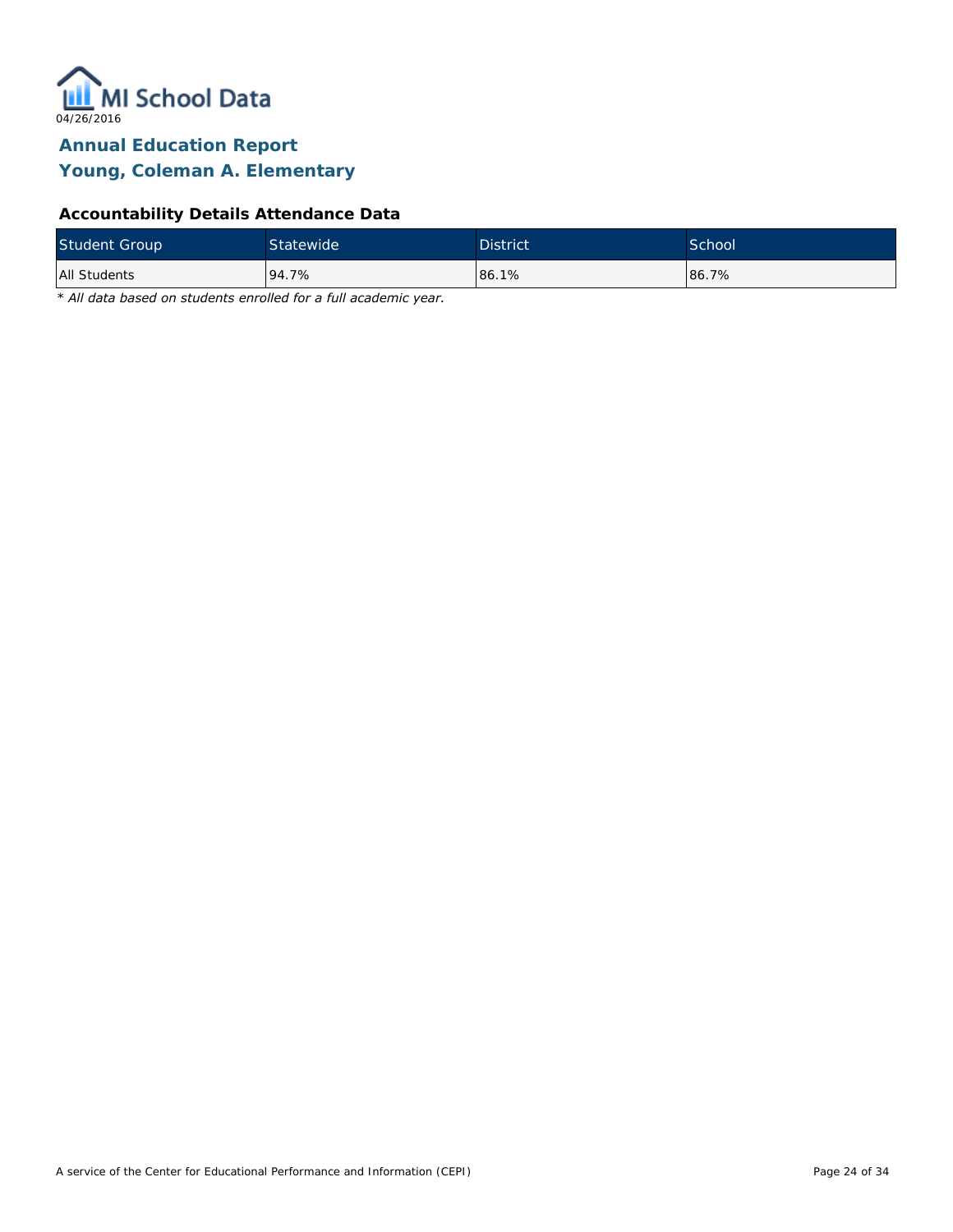

### **Accountability Details Attendance Data**

| <b>Student Group</b> | <b>Statewide</b> | <b>District</b> | School <sup>1</sup> |
|----------------------|------------------|-----------------|---------------------|
| All Students         | 94.7%            | 86.1%           | 86.7%               |

*\* All data based on students enrolled for a full academic year.*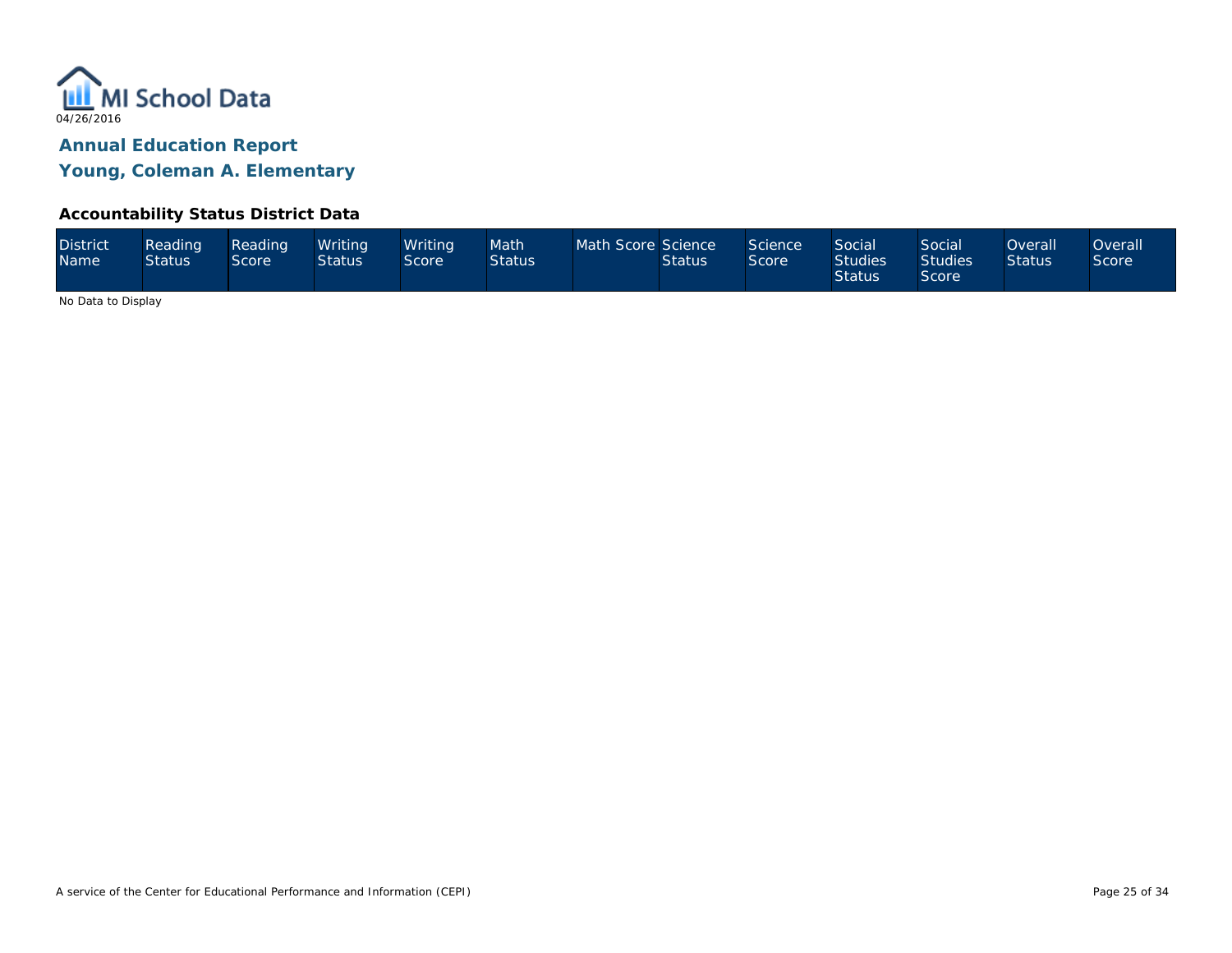

### **Accountability Status District Data**

| <b>District</b><br><b>Name</b> | Reading<br><b>Status</b> | Reading<br>Score | Writing<br><b>Status</b> | Writina<br>Score | Math<br><b>Status</b> | Math Score Science | <b>Status</b> | Science<br>Score | <b>Social</b><br><b>Studies</b><br><b>Status</b> | Social<br><b>Studies</b><br><b>Score</b> | <b>Overall</b><br><b>Status</b> | Overall<br><b>Score</b> |
|--------------------------------|--------------------------|------------------|--------------------------|------------------|-----------------------|--------------------|---------------|------------------|--------------------------------------------------|------------------------------------------|---------------------------------|-------------------------|
|--------------------------------|--------------------------|------------------|--------------------------|------------------|-----------------------|--------------------|---------------|------------------|--------------------------------------------------|------------------------------------------|---------------------------------|-------------------------|

No Data to Display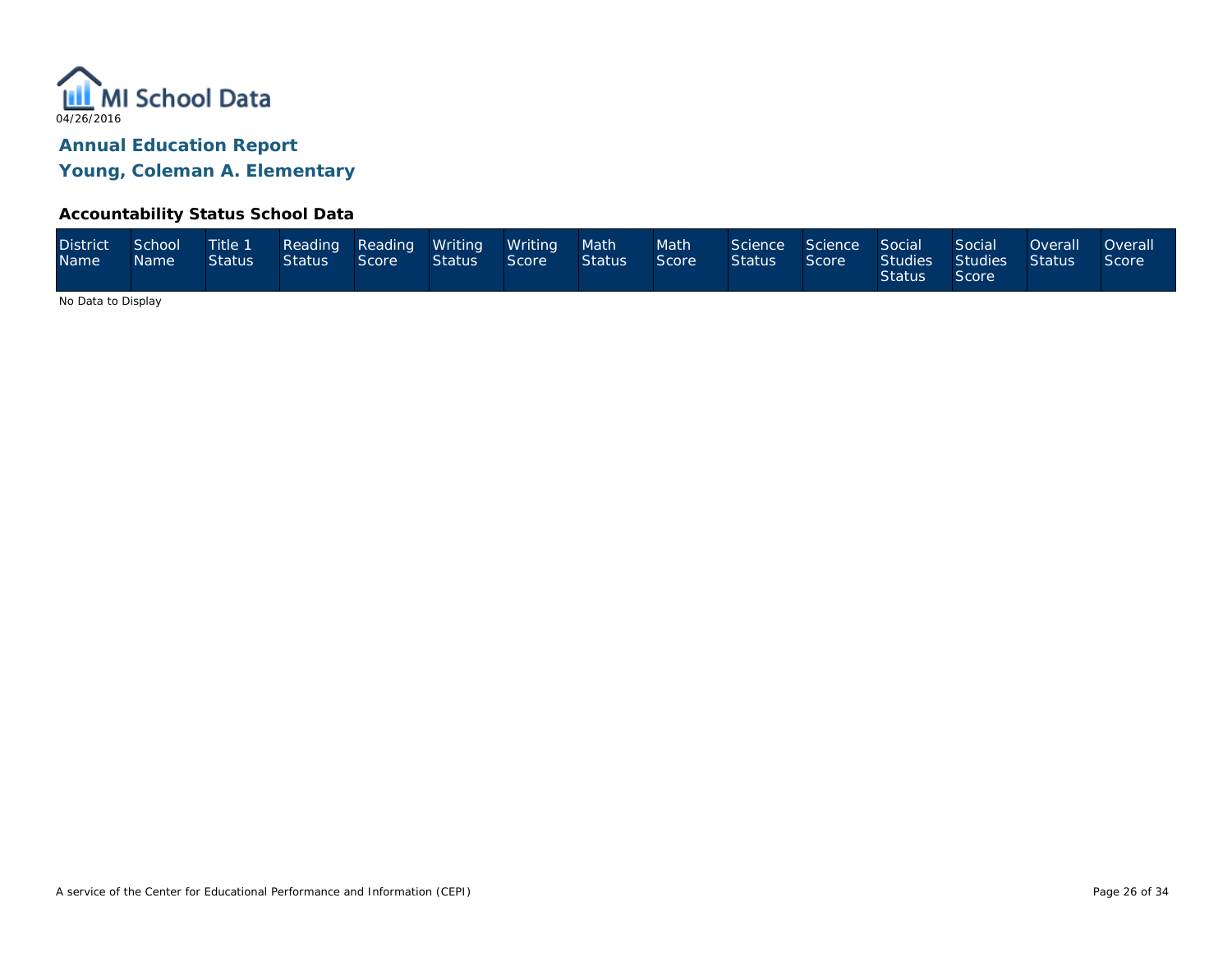

### **Accountability Status School Data**

| <b>District</b><br>Name <sup>1</sup> | School<br>Name | Status | Status Score |  | Title 1 Reading Reading Writing Writing<br><b>Status</b> | Score | Math<br><b>Status</b> | Math <sup>1</sup><br>Score | Science Science Social<br><b>Status</b> | Score | <b>Status</b> | Social<br>Studies Studies Status<br>Score | Overall | <b>Overall</b><br>Score |
|--------------------------------------|----------------|--------|--------------|--|----------------------------------------------------------|-------|-----------------------|----------------------------|-----------------------------------------|-------|---------------|-------------------------------------------|---------|-------------------------|
|--------------------------------------|----------------|--------|--------------|--|----------------------------------------------------------|-------|-----------------------|----------------------------|-----------------------------------------|-------|---------------|-------------------------------------------|---------|-------------------------|

No Data to Display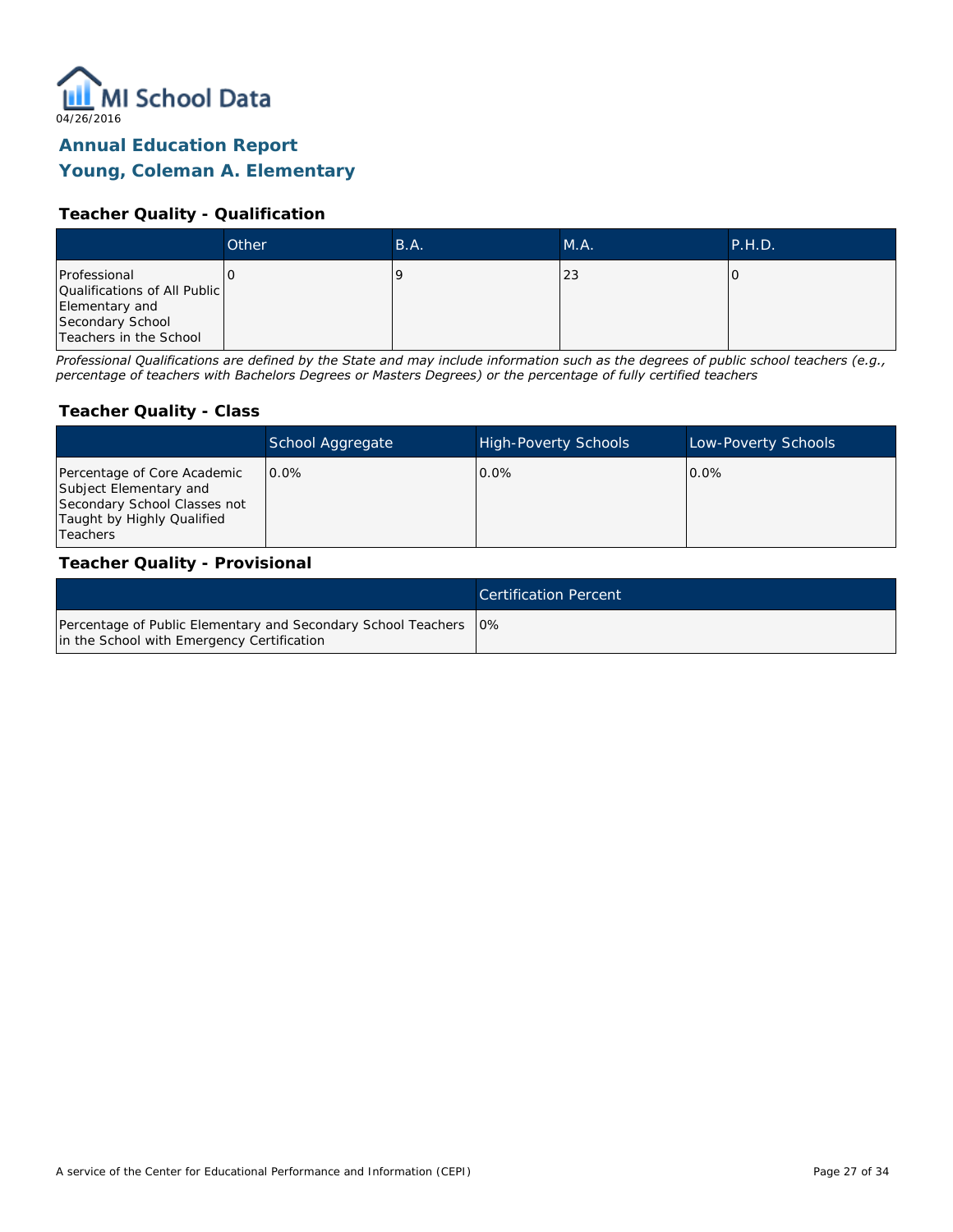

## **Young, Coleman A. Elementary**

### **Teacher Quality - Qualification**

|                                                                | Other | B.A. | M.A. | P.H.D. |
|----------------------------------------------------------------|-------|------|------|--------|
| Professional<br>Qualifications of All Public<br>Elementary and |       |      | 23   |        |
| Secondary School<br>Teachers in the School                     |       |      |      |        |

*Professional Qualifications are defined by the State and may include information such as the degrees of public school teachers (e.g., percentage of teachers with Bachelors Degrees or Masters Degrees) or the percentage of fully certified teachers*

#### **Teacher Quality - Class**

|                                                                                                                                   | School Aggregate | <b>High-Poverty Schools</b> | Low-Poverty Schools |
|-----------------------------------------------------------------------------------------------------------------------------------|------------------|-----------------------------|---------------------|
| Percentage of Core Academic<br>Subject Elementary and<br>Secondary School Classes not<br>Taught by Highly Qualified<br>l Teachers | $0.0\%$          | $0.0\%$                     | $0.0\%$             |

#### **Teacher Quality - Provisional**

|                                                                                                                  | Certification Percent |
|------------------------------------------------------------------------------------------------------------------|-----------------------|
| Percentage of Public Elementary and Secondary School Teachers   0%<br>in the School with Emergency Certification |                       |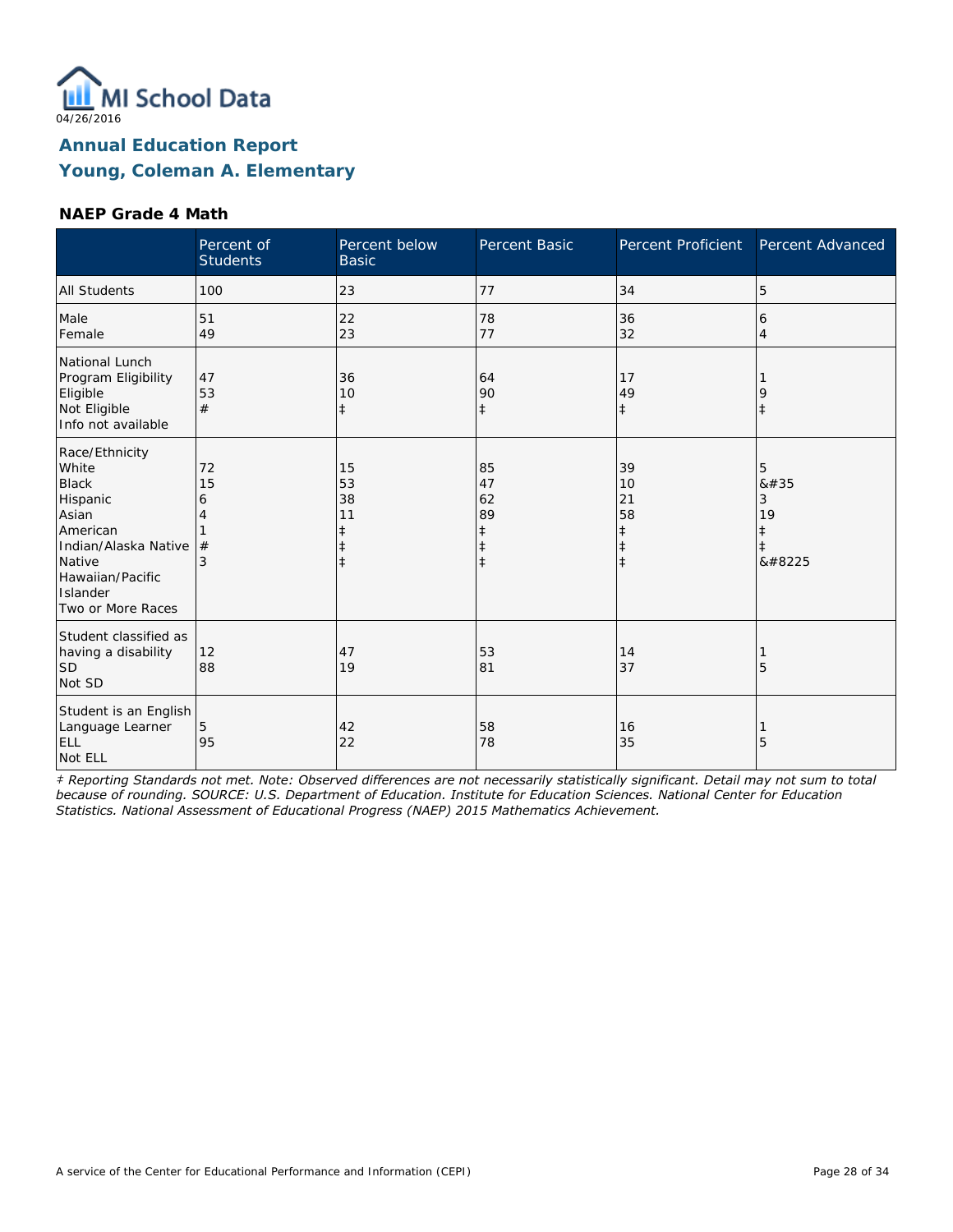

#### **NAEP Grade 4 Math**

|                                                                                                                                                                 | Percent of<br><b>Students</b> | Percent below<br><b>Basic</b>                    | Percent Basic                                         | Percent Proficient                                             | Percent Advanced               |
|-----------------------------------------------------------------------------------------------------------------------------------------------------------------|-------------------------------|--------------------------------------------------|-------------------------------------------------------|----------------------------------------------------------------|--------------------------------|
| <b>All Students</b>                                                                                                                                             | 100                           | 23                                               | 77                                                    | 34                                                             | 5                              |
| Male<br>Female                                                                                                                                                  | 51<br>49                      | 22<br>23                                         | 78<br>77                                              | 36<br>32                                                       | 6<br>$\overline{4}$            |
| National Lunch<br>Program Eligibility<br>Eligible<br>Not Eligible<br>Info not available                                                                         | 47<br>53<br>#                 | 36<br>10<br>$\ddagger$                           | 64<br>90<br>$\ddagger$                                | 17<br>49<br>$\ddagger$                                         | 9<br>$\ddagger$                |
| Race/Ethnicity<br>White<br><b>Black</b><br>Hispanic<br>Asian<br>American<br>Indian/Alaska Native<br>Native<br>Hawaiian/Pacific<br>Islander<br>Two or More Races | 72<br>15<br>6<br>4<br>#<br>3  | 15<br>53<br>38<br>11<br>$\ddagger$<br>$\ddagger$ | 85<br>47<br>62<br>89<br>$\ddagger$<br>ŧ<br>$\ddagger$ | 39<br>10<br>21<br>58<br>$\ddagger$<br>$\ddagger$<br>$\ddagger$ | 5<br>8#35<br>3<br>19<br>‡<br>‡ |
| Student classified as<br>having a disability<br><b>SD</b><br>Not SD                                                                                             | 12<br>88                      | 47<br>19                                         | 53<br>81                                              | 14<br>37                                                       | 5                              |
| Student is an English<br>Language Learner<br><b>ELL</b><br>Not ELL                                                                                              | 5<br>95                       | 42<br>22                                         | 58<br>78                                              | 16<br>35                                                       | 5                              |

*‡ Reporting Standards not met. Note: Observed differences are not necessarily statistically significant. Detail may not sum to total because of rounding. SOURCE: U.S. Department of Education. Institute for Education Sciences. National Center for Education Statistics. National Assessment of Educational Progress (NAEP) 2015 Mathematics Achievement.*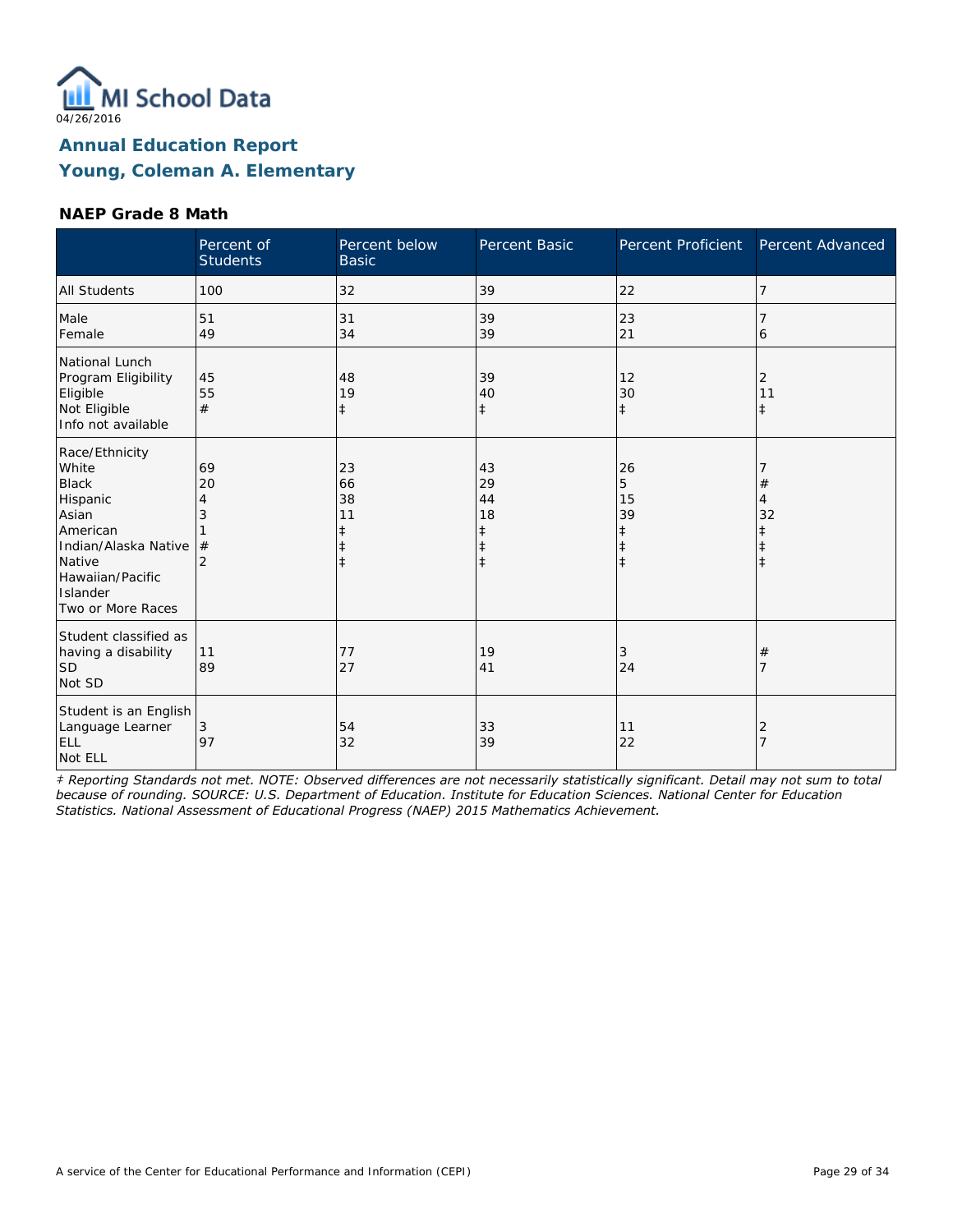

### **NAEP Grade 8 Math**

|                                                                                                                                                                 | Percent of<br><b>Students</b>             | Percent below<br><b>Basic</b>                    | Percent Basic                                | Percent Proficient                     | Percent Advanced      |
|-----------------------------------------------------------------------------------------------------------------------------------------------------------------|-------------------------------------------|--------------------------------------------------|----------------------------------------------|----------------------------------------|-----------------------|
| <b>All Students</b>                                                                                                                                             | 100                                       | 32                                               | 39                                           | 22                                     | 7                     |
| Male<br>Female                                                                                                                                                  | 51<br>49                                  | 31<br>34                                         | 39<br>39                                     | 23<br>21                               | 6                     |
| National Lunch<br>Program Eligibility<br>Eligible<br>Not Eligible<br>Info not available                                                                         | 45<br>55<br>#                             | 48<br>19<br>$\ddagger$                           | 39<br>40<br>$\ddagger$                       | 12<br>30<br>$\ddagger$                 | 2<br>11<br>$\ddagger$ |
| Race/Ethnicity<br>White<br><b>Black</b><br>Hispanic<br>Asian<br>American<br>Indian/Alaska Native<br>Native<br>Hawaiian/Pacific<br>Islander<br>Two or More Races | 69<br>20<br>4<br>3<br>#<br>$\overline{2}$ | 23<br>66<br>38<br>11<br>ŧ<br>$\ddagger$<br>$\pm$ | 43<br>29<br>44<br>18<br>ŧ<br>ŧ<br>$\ddagger$ | 26<br>5<br>15<br>39<br>ŧ<br>$\ddagger$ | #<br>4<br>32          |
| Student classified as<br>having a disability<br>SD <sup>1</sup><br>Not SD                                                                                       | 11<br>89                                  | 77<br>27                                         | 19<br>41                                     | 3<br>24                                | #                     |
| Student is an English<br>Language Learner<br><b>ELL</b><br>Not ELL                                                                                              | 3<br>97                                   | 54<br>32                                         | 33<br>39                                     | 11<br>22                               | 2                     |

*‡ Reporting Standards not met. NOTE: Observed differences are not necessarily statistically significant. Detail may not sum to total because of rounding. SOURCE: U.S. Department of Education. Institute for Education Sciences. National Center for Education Statistics. National Assessment of Educational Progress (NAEP) 2015 Mathematics Achievement.*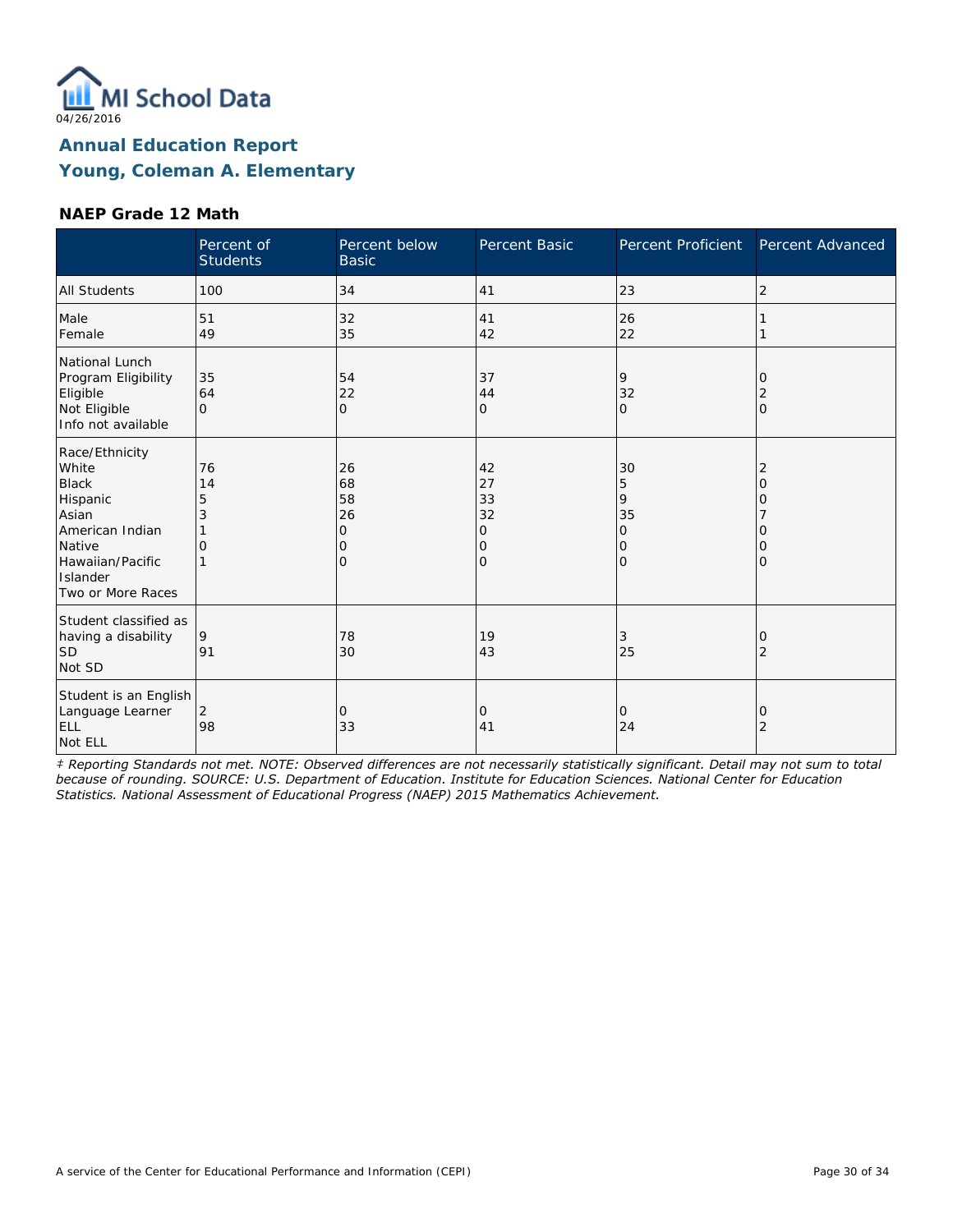

### **NAEP Grade 12 Math**

|                                                                                                                                                | Percent of<br><b>Students</b>  | Percent below<br><b>Basic</b>              | <b>Percent Basic</b>                | Percent Proficient                 | Percent Advanced                  |
|------------------------------------------------------------------------------------------------------------------------------------------------|--------------------------------|--------------------------------------------|-------------------------------------|------------------------------------|-----------------------------------|
| <b>All Students</b>                                                                                                                            | 100                            | 34                                         | 41                                  | 23                                 | $\overline{2}$                    |
| Male<br>Female                                                                                                                                 | 51<br>49                       | 32<br>35                                   | 41<br>42                            | 26<br>22                           |                                   |
| National Lunch<br>Program Eligibility<br>Eligible<br>Not Eligible<br>Info not available                                                        | 35<br>64<br>$\Omega$           | 54<br>22<br>$\circ$                        | 37<br>44<br>0                       | 9<br>32<br>$\mathbf 0$             | $\Omega$<br>2<br>$\mathbf{O}$     |
| Race/Ethnicity<br>White<br><b>Black</b><br>Hispanic<br>Asian<br>American Indian<br>Native<br>Hawaiian/Pacific<br>Islander<br>Two or More Races | 76<br>14<br>5<br>3<br>$\Omega$ | 26<br>68<br>58<br>26<br>0<br>Ω<br>$\Omega$ | 42<br>27<br>33<br>32<br>0<br>0<br>O | 30<br>5<br>9<br>35<br>0<br>0<br>lo | 2<br>O<br>Ω<br>O<br>Ω<br>$\Omega$ |
| Student classified as<br>having a disability<br><b>SD</b><br>Not SD                                                                            | 9<br>91                        | 78<br>30                                   | 19<br>43                            | 3<br>25                            | 0<br>2                            |
| Student is an English<br>Language Learner<br>ELL<br>Not ELL                                                                                    | $\overline{2}$<br>98           | 0<br>33                                    | 0<br>41                             | $\circ$<br>24                      | 0<br>2                            |

*‡ Reporting Standards not met. NOTE: Observed differences are not necessarily statistically significant. Detail may not sum to total because of rounding. SOURCE: U.S. Department of Education. Institute for Education Sciences. National Center for Education Statistics. National Assessment of Educational Progress (NAEP) 2015 Mathematics Achievement.*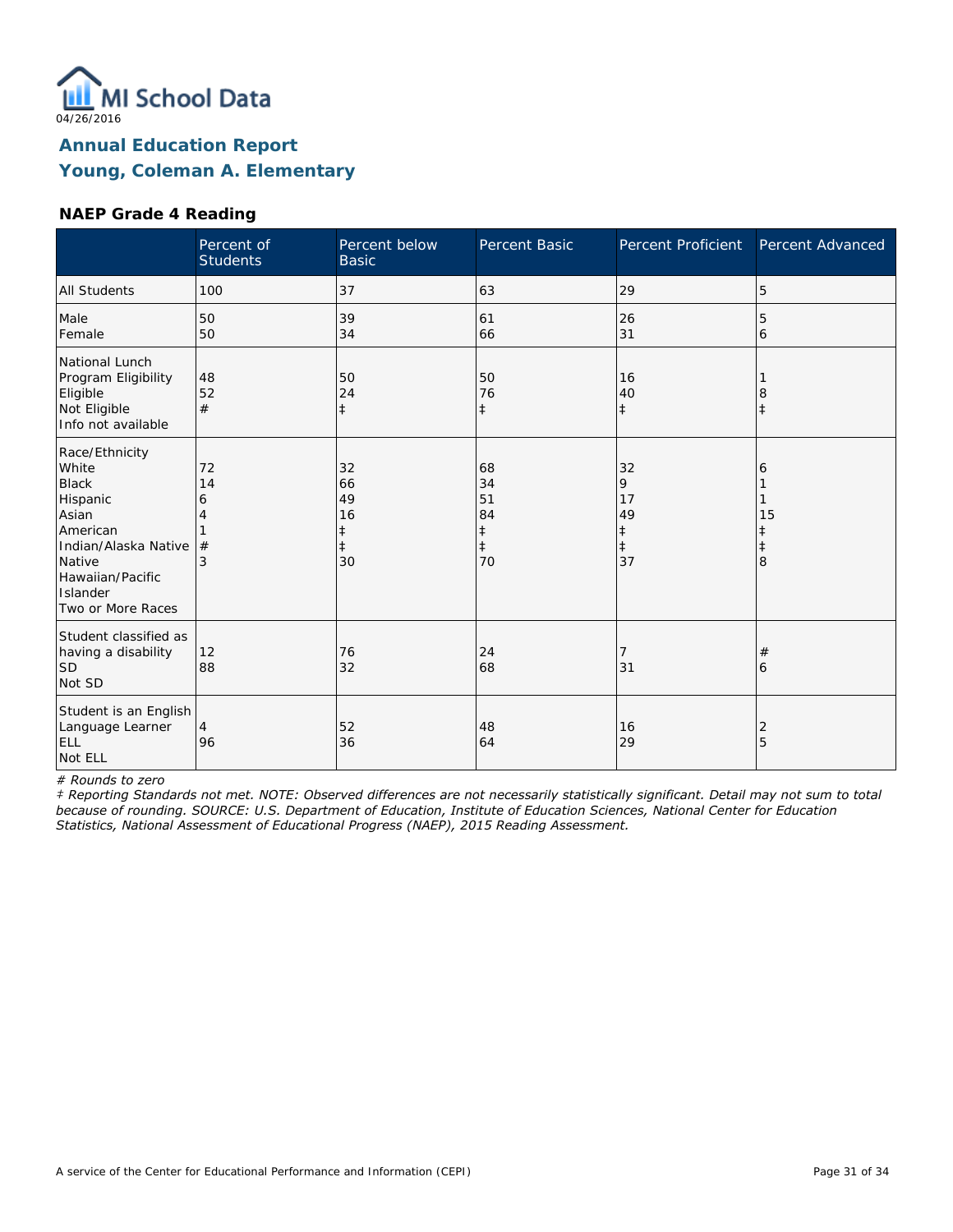

### **NAEP Grade 4 Reading**

|                                                                                                                                                                 | Percent of<br><b>Students</b> | Percent below<br><b>Basic</b>                 | Percent Basic                                          | Percent Proficient                                    | Percent Advanced |
|-----------------------------------------------------------------------------------------------------------------------------------------------------------------|-------------------------------|-----------------------------------------------|--------------------------------------------------------|-------------------------------------------------------|------------------|
| <b>All Students</b>                                                                                                                                             | 100                           | 37                                            | 63                                                     | 29                                                    | 5                |
| Male<br>Female                                                                                                                                                  | 50<br>50                      | 39<br>34                                      | 61<br>66                                               | 26<br>31                                              | 5<br>6           |
| National Lunch<br>Program Eligibility<br>Eligible<br>Not Eligible<br>Info not available                                                                         | 48<br>52<br>#                 | 50<br>24<br>$\ddagger$                        | 50<br>76<br>$\ddagger$                                 | 16<br>40<br>$\ddagger$                                | 8<br>İ           |
| Race/Ethnicity<br>White<br><b>Black</b><br>Hispanic<br>Asian<br>American<br>Indian/Alaska Native<br>Native<br>Hawaiian/Pacific<br>Islander<br>Two or More Races | 72<br>14<br>6<br>4<br>#<br>3  | 32<br>66<br>49<br>16<br>‡<br>$\ddagger$<br>30 | 68<br>34<br>51<br>84<br>$\ddagger$<br>$\ddagger$<br>70 | 32<br>9<br>17<br>49<br>$\ddagger$<br>$\ddagger$<br>37 | 6<br>15<br>8     |
| Student classified as<br>having a disability<br><b>SD</b><br>Not SD                                                                                             | 12<br>88                      | 76<br>32                                      | 24<br>68                                               | 7<br>31                                               | #<br>6           |
| Student is an English<br>Language Learner<br>ELL<br>Not ELL                                                                                                     | 4<br>96                       | 52<br>36                                      | 48<br>64                                               | 16<br>29                                              | 2<br>5           |

*# Rounds to zero*

*‡ Reporting Standards not met. NOTE: Observed differences are not necessarily statistically significant. Detail may not sum to total because of rounding. SOURCE: U.S. Department of Education, Institute of Education Sciences, National Center for Education Statistics, National Assessment of Educational Progress (NAEP), 2015 Reading Assessment.*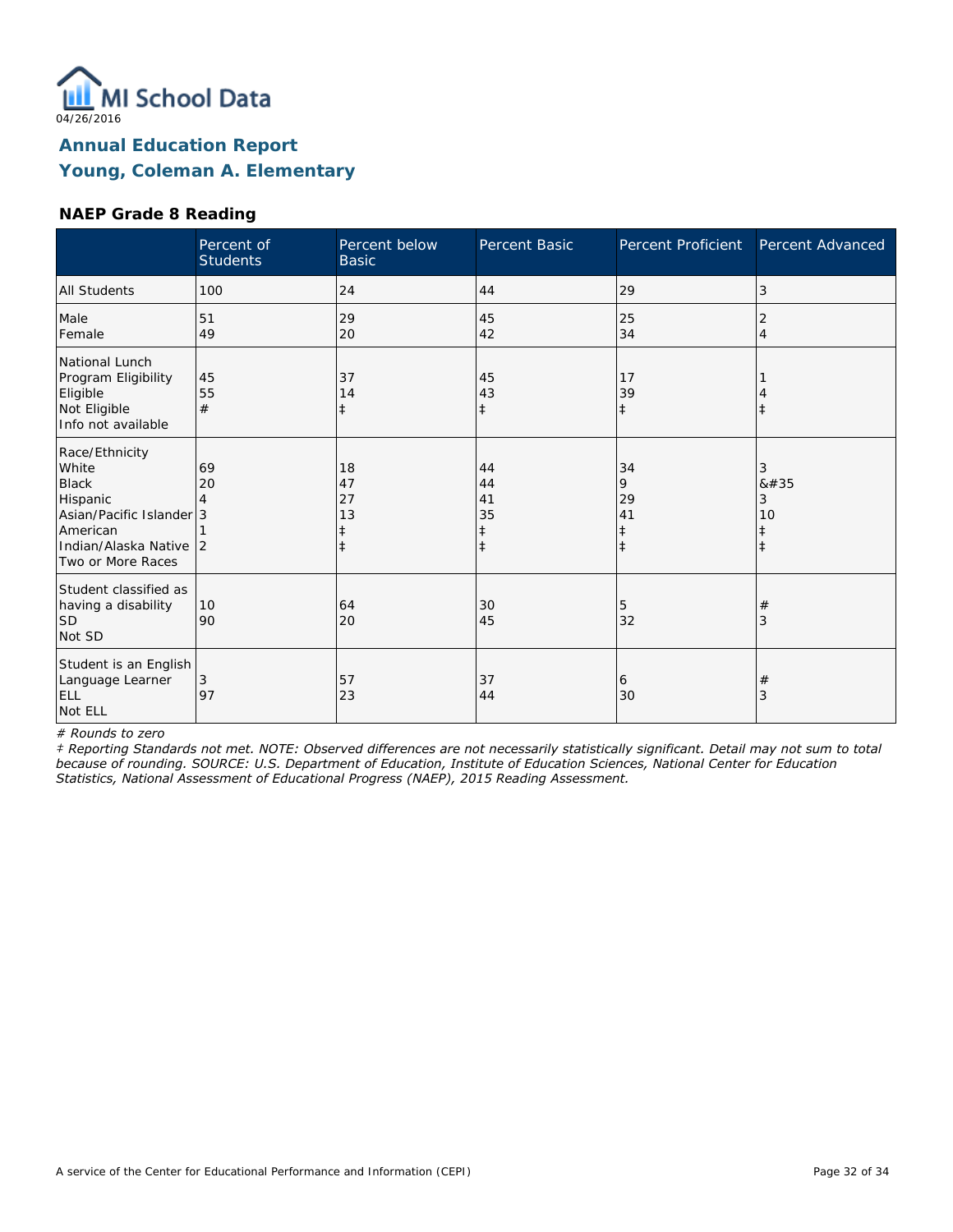

### **NAEP Grade 8 Reading**

|                                                                                                                                            | Percent of<br><b>Students</b> | Percent below<br><b>Basic</b>    | Percent Basic                      | Percent Proficient                              | Percent Advanced                        |
|--------------------------------------------------------------------------------------------------------------------------------------------|-------------------------------|----------------------------------|------------------------------------|-------------------------------------------------|-----------------------------------------|
| <b>All Students</b>                                                                                                                        | 100                           | 24                               | 44                                 | 29                                              | 3                                       |
| Male<br>Female                                                                                                                             | 51<br>49                      | 29<br>20                         | 45<br>42                           | 25<br>34                                        | 2<br>$\overline{4}$                     |
| National Lunch<br>Program Eligibility<br>Eligible<br>Not Eligible<br>Info not available                                                    | 45<br>55<br>#                 | 37<br>14<br>$\ddagger$           | 45<br>43<br>$\ddagger$             | 17<br>39<br>$\ddagger$                          | $\ddagger$                              |
| Race/Ethnicity<br>White<br><b>Black</b><br>Hispanic<br>Asian/Pacific Islander 3<br>American<br>Indian/Alaska Native 2<br>Two or More Races | 69<br>20                      | 18<br>47<br>27<br>13<br>$^\ddag$ | 44<br>44<br>41<br>35<br>$\ddagger$ | 34<br>9<br>29<br>41<br>$\ddagger$<br>$\ddagger$ | 3<br>8#35<br>3<br>10<br>ŧ<br>$\ddagger$ |
| Student classified as<br>having a disability<br><b>SD</b><br>Not SD                                                                        | 10<br>90                      | 64<br>20                         | 30<br>45                           | 5<br>32                                         | $\#$<br>3                               |
| Student is an English<br>Language Learner<br><b>ELL</b><br>Not ELL                                                                         | 3<br>97                       | 57<br>23                         | 37<br>44                           | 6<br>30                                         | $\#$<br>3                               |

*# Rounds to zero*

*‡ Reporting Standards not met. NOTE: Observed differences are not necessarily statistically significant. Detail may not sum to total because of rounding. SOURCE: U.S. Department of Education, Institute of Education Sciences, National Center for Education Statistics, National Assessment of Educational Progress (NAEP), 2015 Reading Assessment.*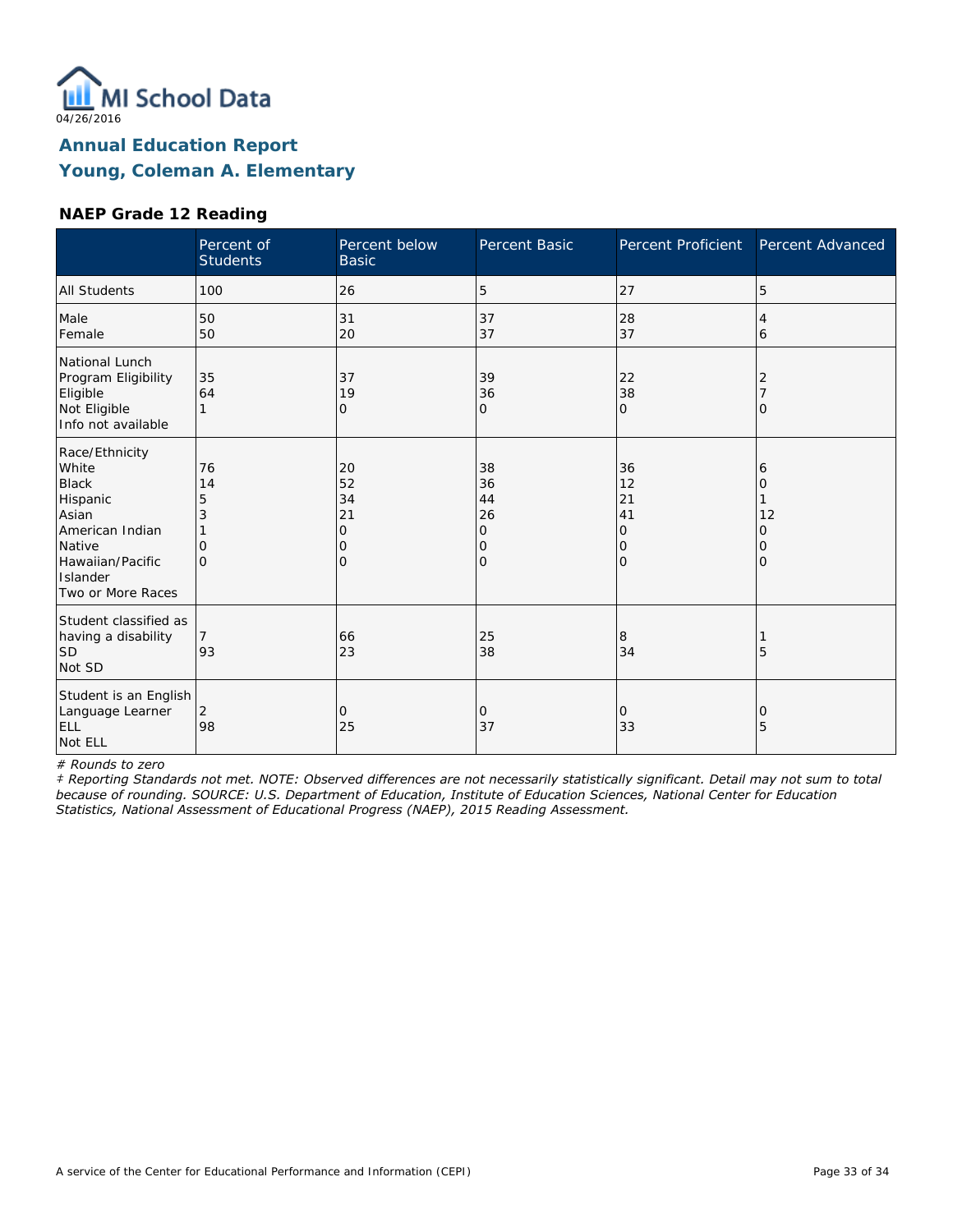

### **NAEP Grade 12 Reading**

|                                                                                                                                                | Percent of<br><b>Students</b>                   | Percent below<br><b>Basic</b>                        | Percent Basic                       | Percent Proficient                                | Percent Advanced            |
|------------------------------------------------------------------------------------------------------------------------------------------------|-------------------------------------------------|------------------------------------------------------|-------------------------------------|---------------------------------------------------|-----------------------------|
| <b>All Students</b>                                                                                                                            | 100                                             | 26                                                   | 5                                   | 27                                                | 5                           |
| Male<br>Female                                                                                                                                 | 50<br>50                                        | 31<br>20                                             | 37<br>37                            | 28<br>37                                          | 4<br>6                      |
| National Lunch<br>Program Eligibility<br>Eligible<br>Not Eligible<br>Info not available                                                        | 35<br>64                                        | 37<br>19<br>0                                        | 39<br>36<br>0                       | 22<br>38<br>$\mathbf{O}$                          | 2<br>O                      |
| Race/Ethnicity<br>White<br><b>Black</b><br>Hispanic<br>Asian<br>American Indian<br>Native<br>Hawaiian/Pacific<br>Islander<br>Two or More Races | 76<br>14<br>5<br>3<br>$\mathcal{O}$<br>$\Omega$ | 20<br>52<br>34<br>21<br>$\mathbf 0$<br>0<br>$\Omega$ | 38<br>36<br>44<br>26<br>0<br>0<br>0 | 36<br>12<br>21<br>41<br>0<br>10<br>$\overline{O}$ | 6<br>Ω<br>12<br>Ω<br>0<br>Ω |
| Student classified as<br>having a disability<br> SD<br>Not SD                                                                                  | 7<br>93                                         | 66<br>23                                             | 25<br>38                            | 8<br>34                                           | 5                           |
| Student is an English<br>Language Learner<br>ELL<br>Not ELL                                                                                    | 2<br>98                                         | $\Omega$<br>25                                       | 0<br>37                             | 0<br>33                                           | 0<br>5                      |

*# Rounds to zero*

*‡ Reporting Standards not met. NOTE: Observed differences are not necessarily statistically significant. Detail may not sum to total because of rounding. SOURCE: U.S. Department of Education, Institute of Education Sciences, National Center for Education Statistics, National Assessment of Educational Progress (NAEP), 2015 Reading Assessment.*